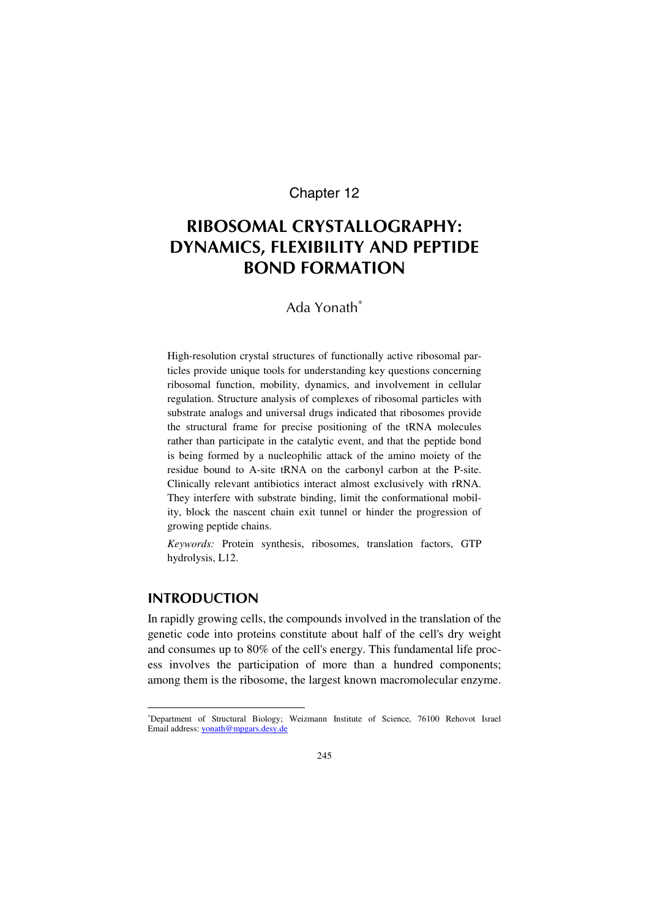## Chapter 12

# **RIBOSOMAL CRYSTALLOGRAPHY: DYNAMICS, FLEXIBILITY AND PEPTIDE BOND FORMATION**

## Ada Yonath<sup>∗</sup>

High-resolution crystal structures of functionally active ribosomal particles provide unique tools for understanding key questions concerning ribosomal function, mobility, dynamics, and involvement in cellular regulation. Structure analysis of complexes of ribosomal particles with substrate analogs and universal drugs indicated that ribosomes provide the structural frame for precise positioning of the tRNA molecules rather than participate in the catalytic event, and that the peptide bond is being formed by a nucleophilic attack of the amino moiety of the residue bound to A-site tRNA on the carbonyl carbon at the P-site. Clinically relevant antibiotics interact almost exclusively with rRNA. They interfere with substrate binding, limit the conformational mobility, block the nascent chain exit tunnel or hinder the progression of growing peptide chains.

*Keywords:* Protein synthesis, ribosomes, translation factors, GTP hydrolysis, L12.

### **INTRODUCTION**

 $\overline{a}$ 

In rapidly growing cells, the compounds involved in the translation of the genetic code into proteins constitute about half of the cell's dry weight and consumes up to 80% of the cell's energy. This fundamental life process involves the participation of more than a hundred components; among them is the ribosome, the largest known macromolecular enzyme.

<sup>∗</sup> Department of Structural Biology; Weizmann Institute of Science, 76100 Rehovot Israel Email address: yonath@mpgars.desy.de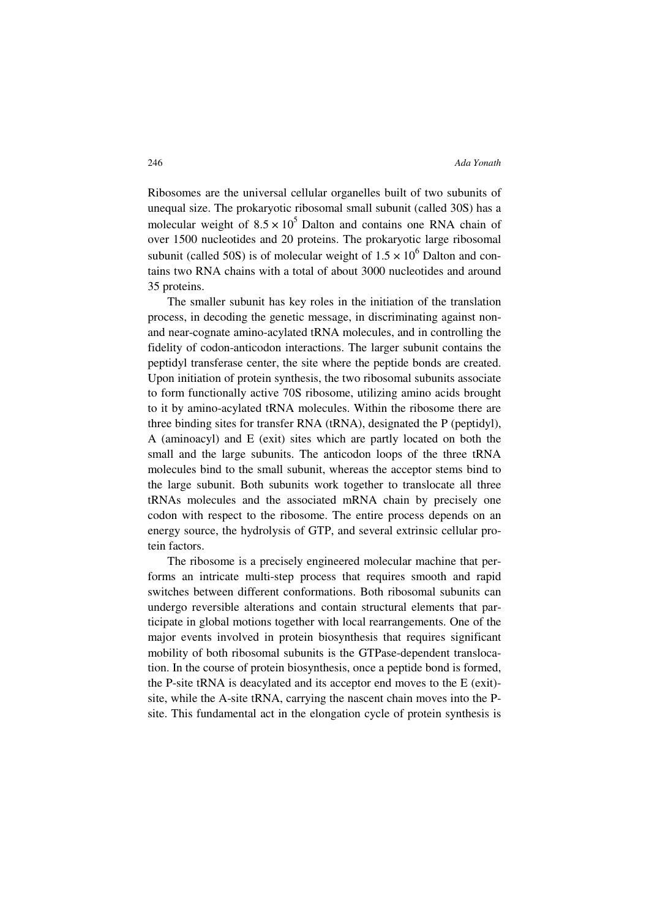Ribosomes are the universal cellular organelles built of two subunits of unequal size. The prokaryotic ribosomal small subunit (called 30S) has a molecular weight of  $8.5 \times 10^5$  Dalton and contains one RNA chain of over 1500 nucleotides and 20 proteins. The prokaryotic large ribosomal subunit (called 50S) is of molecular weight of  $1.5 \times 10^6$  Dalton and contains two RNA chains with a total of about 3000 nucleotides and around 35 proteins.

The smaller subunit has key roles in the initiation of the translation process, in decoding the genetic message, in discriminating against nonand near-cognate amino-acylated tRNA molecules, and in controlling the fidelity of codon-anticodon interactions. The larger subunit contains the peptidyl transferase center, the site where the peptide bonds are created. Upon initiation of protein synthesis, the two ribosomal subunits associate to form functionally active 70S ribosome, utilizing amino acids brought to it by amino-acylated tRNA molecules. Within the ribosome there are three binding sites for transfer RNA (tRNA), designated the P (peptidyl), A (aminoacyl) and E (exit) sites which are partly located on both the small and the large subunits. The anticodon loops of the three tRNA molecules bind to the small subunit, whereas the acceptor stems bind to the large subunit. Both subunits work together to translocate all three tRNAs molecules and the associated mRNA chain by precisely one codon with respect to the ribosome. The entire process depends on an energy source, the hydrolysis of GTP, and several extrinsic cellular protein factors.

The ribosome is a precisely engineered molecular machine that performs an intricate multi-step process that requires smooth and rapid switches between different conformations. Both ribosomal subunits can undergo reversible alterations and contain structural elements that participate in global motions together with local rearrangements. One of the major events involved in protein biosynthesis that requires significant mobility of both ribosomal subunits is the GTPase-dependent translocation. In the course of protein biosynthesis, once a peptide bond is formed, the P-site tRNA is deacylated and its acceptor end moves to the E (exit) site, while the A-site tRNA, carrying the nascent chain moves into the Psite. This fundamental act in the elongation cycle of protein synthesis is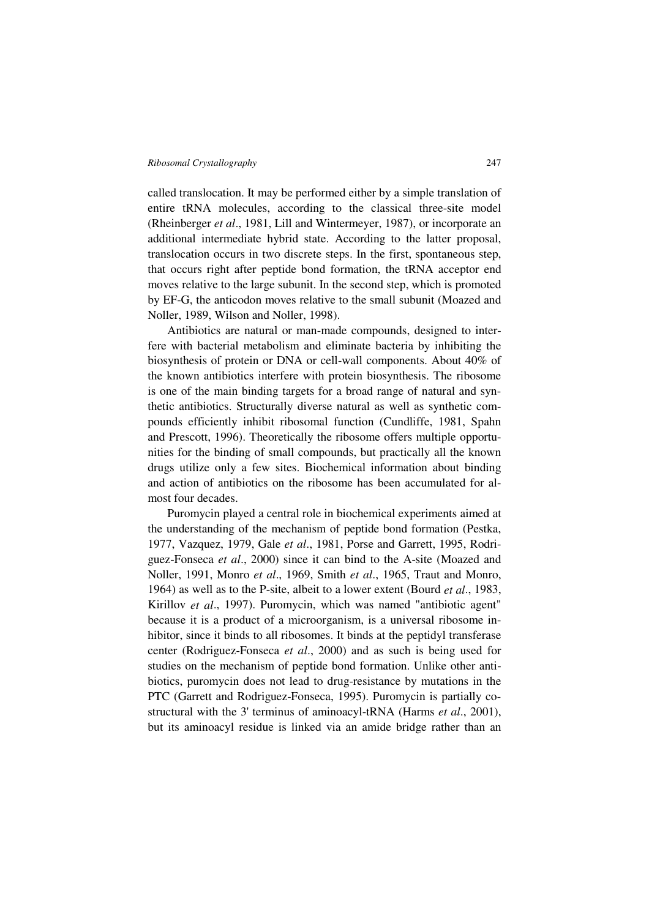called translocation. It may be performed either by a simple translation of entire tRNA molecules, according to the classical three-site model (Rheinberger *et al*., 1981, Lill and Wintermeyer, 1987), or incorporate an additional intermediate hybrid state. According to the latter proposal, translocation occurs in two discrete steps. In the first, spontaneous step, that occurs right after peptide bond formation, the tRNA acceptor end moves relative to the large subunit. In the second step, which is promoted by EF-G, the anticodon moves relative to the small subunit (Moazed and Noller, 1989, Wilson and Noller, 1998).

Antibiotics are natural or man-made compounds, designed to interfere with bacterial metabolism and eliminate bacteria by inhibiting the biosynthesis of protein or DNA or cell-wall components. About 40% of the known antibiotics interfere with protein biosynthesis. The ribosome is one of the main binding targets for a broad range of natural and synthetic antibiotics. Structurally diverse natural as well as synthetic compounds efficiently inhibit ribosomal function (Cundliffe, 1981, Spahn and Prescott, 1996). Theoretically the ribosome offers multiple opportunities for the binding of small compounds, but practically all the known drugs utilize only a few sites. Biochemical information about binding and action of antibiotics on the ribosome has been accumulated for almost four decades.

Puromycin played a central role in biochemical experiments aimed at the understanding of the mechanism of peptide bond formation (Pestka, 1977, Vazquez, 1979, Gale *et al*., 1981, Porse and Garrett, 1995, Rodriguez-Fonseca *et al*., 2000) since it can bind to the A-site (Moazed and Noller, 1991, Monro *et al*., 1969, Smith *et al*., 1965, Traut and Monro, 1964) as well as to the P-site, albeit to a lower extent (Bourd *et al*., 1983, Kirillov *et al*., 1997). Puromycin, which was named "antibiotic agent" because it is a product of a microorganism, is a universal ribosome inhibitor, since it binds to all ribosomes. It binds at the peptidyl transferase center (Rodriguez-Fonseca *et al*., 2000) and as such is being used for studies on the mechanism of peptide bond formation. Unlike other antibiotics, puromycin does not lead to drug-resistance by mutations in the PTC (Garrett and Rodriguez-Fonseca, 1995). Puromycin is partially costructural with the 3' terminus of aminoacyl-tRNA (Harms *et al*., 2001), but its aminoacyl residue is linked via an amide bridge rather than an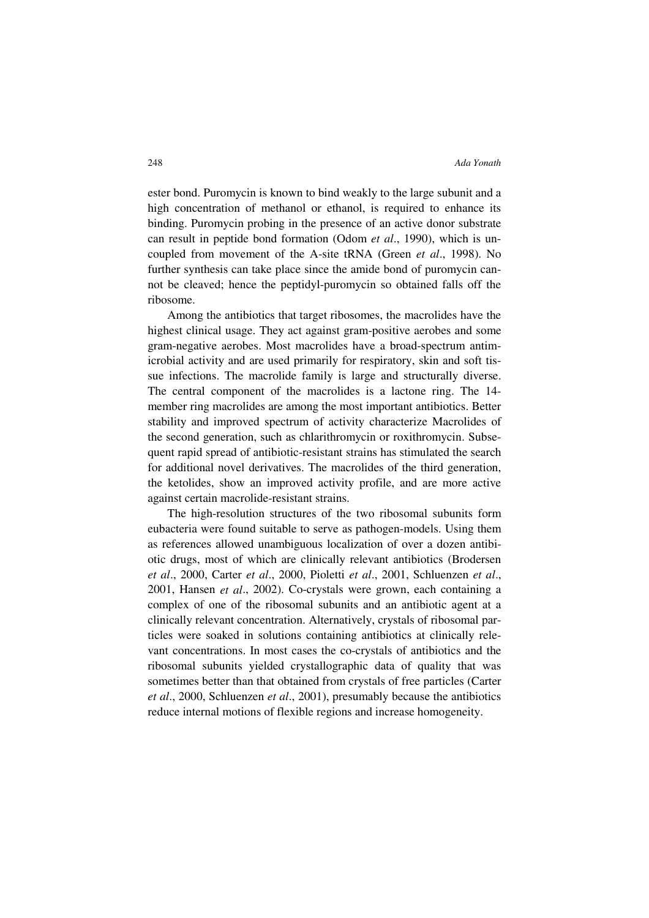ester bond. Puromycin is known to bind weakly to the large subunit and a high concentration of methanol or ethanol, is required to enhance its binding. Puromycin probing in the presence of an active donor substrate can result in peptide bond formation (Odom *et al*., 1990), which is uncoupled from movement of the A-site tRNA (Green *et al*., 1998). No further synthesis can take place since the amide bond of puromycin cannot be cleaved; hence the peptidyl-puromycin so obtained falls off the ribosome.

Among the antibiotics that target ribosomes, the macrolides have the highest clinical usage. They act against gram-positive aerobes and some gram-negative aerobes. Most macrolides have a broad-spectrum antimicrobial activity and are used primarily for respiratory, skin and soft tissue infections. The macrolide family is large and structurally diverse. The central component of the macrolides is a lactone ring. The 14 member ring macrolides are among the most important antibiotics. Better stability and improved spectrum of activity characterize Macrolides of the second generation, such as chlarithromycin or roxithromycin. Subsequent rapid spread of antibiotic-resistant strains has stimulated the search for additional novel derivatives. The macrolides of the third generation, the ketolides, show an improved activity profile, and are more active against certain macrolide-resistant strains.

The high-resolution structures of the two ribosomal subunits form eubacteria were found suitable to serve as pathogen-models. Using them as references allowed unambiguous localization of over a dozen antibiotic drugs, most of which are clinically relevant antibiotics (Brodersen *et al*., 2000, Carter *et al*., 2000, Pioletti *et al*., 2001, Schluenzen *et al*., 2001, Hansen *et al*., 2002). Co-crystals were grown, each containing a complex of one of the ribosomal subunits and an antibiotic agent at a clinically relevant concentration. Alternatively, crystals of ribosomal particles were soaked in solutions containing antibiotics at clinically relevant concentrations. In most cases the co-crystals of antibiotics and the ribosomal subunits yielded crystallographic data of quality that was sometimes better than that obtained from crystals of free particles (Carter *et al*., 2000, Schluenzen *et al*., 2001), presumably because the antibiotics reduce internal motions of flexible regions and increase homogeneity.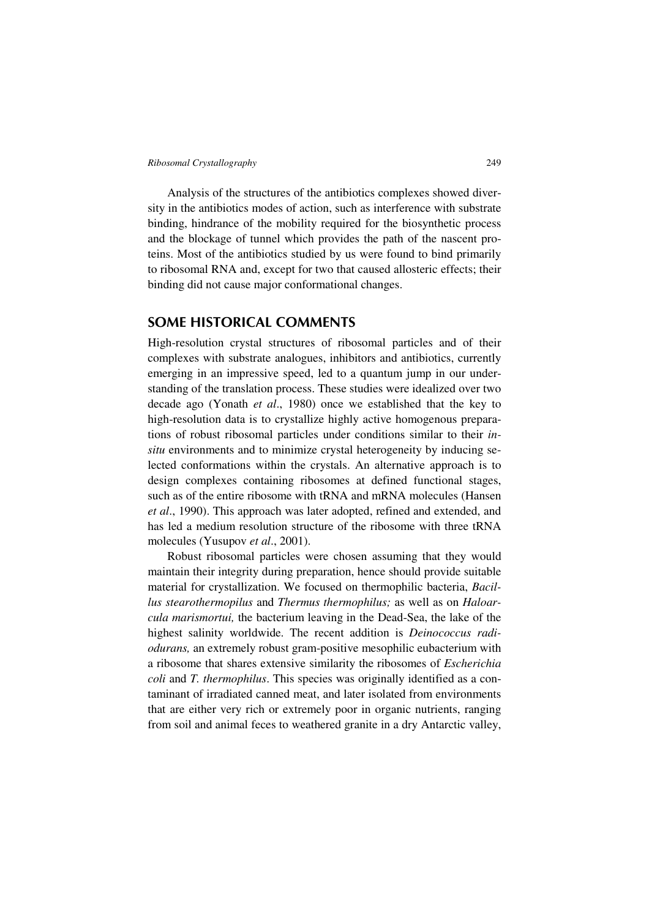Analysis of the structures of the antibiotics complexes showed diversity in the antibiotics modes of action, such as interference with substrate binding, hindrance of the mobility required for the biosynthetic process and the blockage of tunnel which provides the path of the nascent proteins. Most of the antibiotics studied by us were found to bind primarily to ribosomal RNA and, except for two that caused allosteric effects; their binding did not cause major conformational changes.

## **SOME HISTORICAL COMMENTS**

High-resolution crystal structures of ribosomal particles and of their complexes with substrate analogues, inhibitors and antibiotics, currently emerging in an impressive speed, led to a quantum jump in our understanding of the translation process. These studies were idealized over two decade ago (Yonath *et al*., 1980) once we established that the key to high-resolution data is to crystallize highly active homogenous preparations of robust ribosomal particles under conditions similar to their *insitu* environments and to minimize crystal heterogeneity by inducing selected conformations within the crystals. An alternative approach is to design complexes containing ribosomes at defined functional stages, such as of the entire ribosome with tRNA and mRNA molecules (Hansen *et al*., 1990). This approach was later adopted, refined and extended, and has led a medium resolution structure of the ribosome with three tRNA molecules (Yusupov *et al*., 2001).

Robust ribosomal particles were chosen assuming that they would maintain their integrity during preparation, hence should provide suitable material for crystallization. We focused on thermophilic bacteria, *Bacillus stearothermopilus* and *Thermus thermophilus;* as well as on *Haloarcula marismortui,* the bacterium leaving in the Dead-Sea, the lake of the highest salinity worldwide. The recent addition is *Deinococcus radiodurans,* an extremely robust gram-positive mesophilic eubacterium with a ribosome that shares extensive similarity the ribosomes of *Escherichia coli* and *T. thermophilus*. This species was originally identified as a contaminant of irradiated canned meat, and later isolated from environments that are either very rich or extremely poor in organic nutrients, ranging from soil and animal feces to weathered granite in a dry Antarctic valley,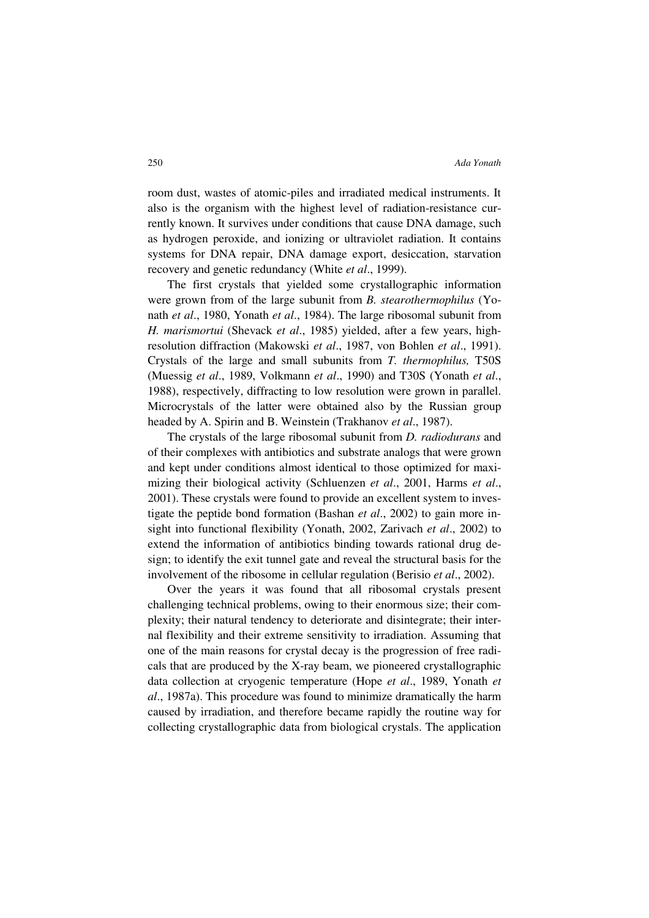room dust, wastes of atomic-piles and irradiated medical instruments. It also is the organism with the highest level of radiation-resistance currently known. It survives under conditions that cause DNA damage, such as hydrogen peroxide, and ionizing or ultraviolet radiation. It contains systems for DNA repair, DNA damage export, desiccation, starvation recovery and genetic redundancy (White *et al*., 1999).

The first crystals that yielded some crystallographic information were grown from of the large subunit from *B. stearothermophilus* (Yonath *et al*., 1980, Yonath *et al*., 1984). The large ribosomal subunit from *H. marismortui* (Shevack *et al*., 1985) yielded, after a few years, highresolution diffraction (Makowski *et al*., 1987, von Bohlen *et al*., 1991). Crystals of the large and small subunits from *T. thermophilus,* T50S (Muessig *et al*., 1989, Volkmann *et al*., 1990) and T30S (Yonath *et al*., 1988), respectively, diffracting to low resolution were grown in parallel. Microcrystals of the latter were obtained also by the Russian group headed by A. Spirin and B. Weinstein (Trakhanov *et al*., 1987).

The crystals of the large ribosomal subunit from *D. radiodurans* and of their complexes with antibiotics and substrate analogs that were grown and kept under conditions almost identical to those optimized for maximizing their biological activity (Schluenzen *et al*., 2001, Harms *et al*., 2001). These crystals were found to provide an excellent system to investigate the peptide bond formation (Bashan *et al*., 2002) to gain more insight into functional flexibility (Yonath, 2002, Zarivach *et al*., 2002) to extend the information of antibiotics binding towards rational drug design; to identify the exit tunnel gate and reveal the structural basis for the involvement of the ribosome in cellular regulation (Berisio *et al*., 2002).

Over the years it was found that all ribosomal crystals present challenging technical problems, owing to their enormous size; their complexity; their natural tendency to deteriorate and disintegrate; their internal flexibility and their extreme sensitivity to irradiation. Assuming that one of the main reasons for crystal decay is the progression of free radicals that are produced by the X-ray beam, we pioneered crystallographic data collection at cryogenic temperature (Hope *et al*., 1989, Yonath *et al*., 1987a). This procedure was found to minimize dramatically the harm caused by irradiation, and therefore became rapidly the routine way for collecting crystallographic data from biological crystals. The application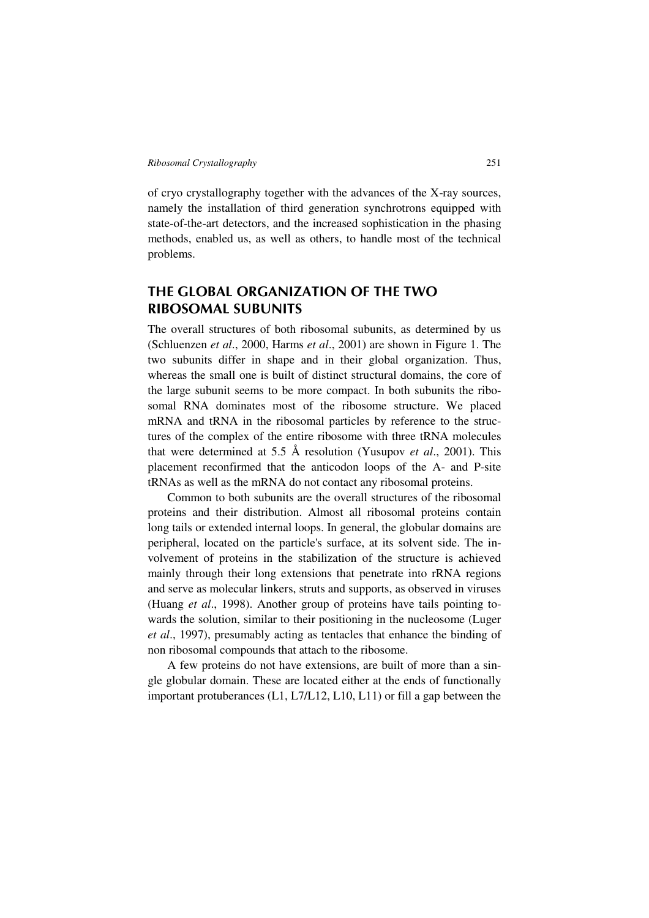of cryo crystallography together with the advances of the X-ray sources, namely the installation of third generation synchrotrons equipped with state-of-the-art detectors, and the increased sophistication in the phasing methods, enabled us, as well as others, to handle most of the technical problems.

## **THE GLOBAL ORGANIZATION OF THE TWO RIBOSOMAL SUBUNITS**

The overall structures of both ribosomal subunits, as determined by us (Schluenzen *et al*., 2000, Harms *et al*., 2001) are shown in Figure 1. The two subunits differ in shape and in their global organization. Thus, whereas the small one is built of distinct structural domains, the core of the large subunit seems to be more compact. In both subunits the ribosomal RNA dominates most of the ribosome structure. We placed mRNA and tRNA in the ribosomal particles by reference to the structures of the complex of the entire ribosome with three tRNA molecules that were determined at 5.5 Å resolution (Yusupov *et al*., 2001). This placement reconfirmed that the anticodon loops of the A- and P-site tRNAs as well as the mRNA do not contact any ribosomal proteins.

Common to both subunits are the overall structures of the ribosomal proteins and their distribution. Almost all ribosomal proteins contain long tails or extended internal loops. In general, the globular domains are peripheral, located on the particle's surface, at its solvent side. The involvement of proteins in the stabilization of the structure is achieved mainly through their long extensions that penetrate into rRNA regions and serve as molecular linkers, struts and supports, as observed in viruses (Huang *et al*., 1998). Another group of proteins have tails pointing towards the solution, similar to their positioning in the nucleosome (Luger *et al*., 1997), presumably acting as tentacles that enhance the binding of non ribosomal compounds that attach to the ribosome.

A few proteins do not have extensions, are built of more than a single globular domain. These are located either at the ends of functionally important protuberances (L1, L7/L12, L10, L11) or fill a gap between the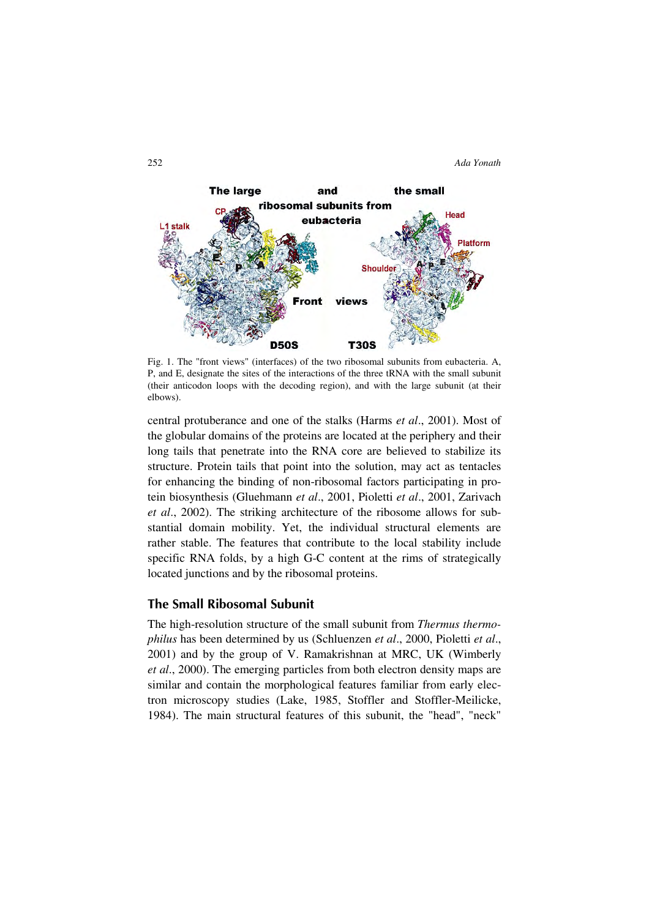252 *Ada Yonath* 



Fig. 1. The "front views" (interfaces) of the two ribosomal subunits from eubacteria. A, P, and E, designate the sites of the interactions of the three tRNA with the small subunit (their anticodon loops with the decoding region), and with the large subunit (at their elbows).

central protuberance and one of the stalks (Harms *et al*., 2001). Most of the globular domains of the proteins are located at the periphery and their long tails that penetrate into the RNA core are believed to stabilize its structure. Protein tails that point into the solution, may act as tentacles for enhancing the binding of non-ribosomal factors participating in protein biosynthesis (Gluehmann *et al*., 2001, Pioletti *et al*., 2001, Zarivach *et al*., 2002). The striking architecture of the ribosome allows for substantial domain mobility. Yet, the individual structural elements are rather stable. The features that contribute to the local stability include specific RNA folds, by a high G-C content at the rims of strategically located junctions and by the ribosomal proteins.

### **The Small Ribosomal Subunit**

The high-resolution structure of the small subunit from *Thermus thermophilus* has been determined by us (Schluenzen *et al*., 2000, Pioletti *et al*., 2001) and by the group of V. Ramakrishnan at MRC, UK (Wimberly *et al*., 2000). The emerging particles from both electron density maps are similar and contain the morphological features familiar from early electron microscopy studies (Lake, 1985, Stoffler and Stoffler-Meilicke, 1984). The main structural features of this subunit, the "head", "neck"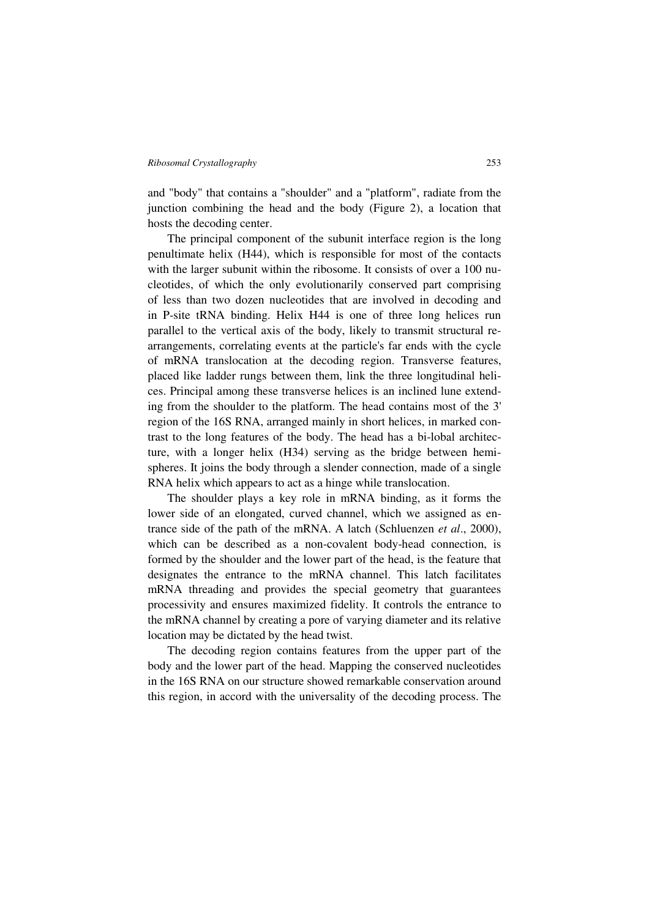and "body" that contains a "shoulder" and a "platform", radiate from the junction combining the head and the body (Figure 2), a location that hosts the decoding center.

The principal component of the subunit interface region is the long penultimate helix (H44), which is responsible for most of the contacts with the larger subunit within the ribosome. It consists of over a 100 nucleotides, of which the only evolutionarily conserved part comprising of less than two dozen nucleotides that are involved in decoding and in P-site tRNA binding. Helix H44 is one of three long helices run parallel to the vertical axis of the body, likely to transmit structural rearrangements, correlating events at the particle's far ends with the cycle of mRNA translocation at the decoding region. Transverse features, placed like ladder rungs between them, link the three longitudinal helices. Principal among these transverse helices is an inclined lune extending from the shoulder to the platform. The head contains most of the 3' region of the 16S RNA, arranged mainly in short helices, in marked contrast to the long features of the body. The head has a bi-lobal architecture, with a longer helix (H34) serving as the bridge between hemispheres. It joins the body through a slender connection, made of a single RNA helix which appears to act as a hinge while translocation.

The shoulder plays a key role in mRNA binding, as it forms the lower side of an elongated, curved channel, which we assigned as entrance side of the path of the mRNA. A latch (Schluenzen *et al*., 2000), which can be described as a non-covalent body-head connection, is formed by the shoulder and the lower part of the head, is the feature that designates the entrance to the mRNA channel. This latch facilitates mRNA threading and provides the special geometry that guarantees processivity and ensures maximized fidelity. It controls the entrance to the mRNA channel by creating a pore of varying diameter and its relative location may be dictated by the head twist.

The decoding region contains features from the upper part of the body and the lower part of the head. Mapping the conserved nucleotides in the 16S RNA on our structure showed remarkable conservation around this region, in accord with the universality of the decoding process. The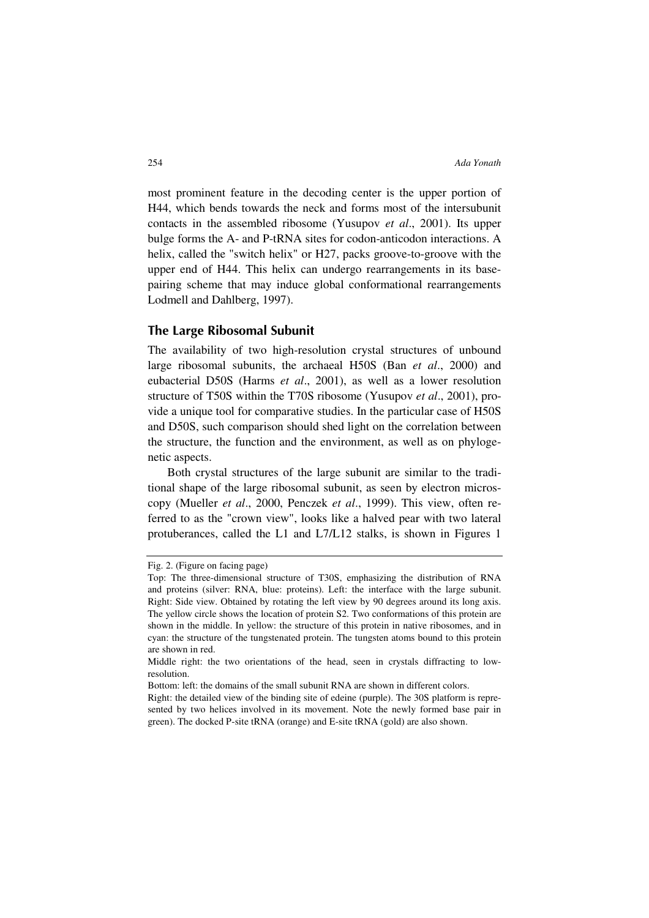most prominent feature in the decoding center is the upper portion of H44, which bends towards the neck and forms most of the intersubunit contacts in the assembled ribosome (Yusupov *et al*., 2001). Its upper bulge forms the A- and P-tRNA sites for codon-anticodon interactions. A helix, called the "switch helix" or H27, packs groove-to-groove with the upper end of H44. This helix can undergo rearrangements in its basepairing scheme that may induce global conformational rearrangements Lodmell and Dahlberg, 1997).

### **The Large Ribosomal Subunit**

The availability of two high-resolution crystal structures of unbound large ribosomal subunits, the archaeal H50S (Ban *et al*., 2000) and eubacterial D50S (Harms *et al*., 2001), as well as a lower resolution structure of T50S within the T70S ribosome (Yusupov *et al*., 2001), provide a unique tool for comparative studies. In the particular case of H50S and D50S, such comparison should shed light on the correlation between the structure, the function and the environment, as well as on phylogenetic aspects.

Both crystal structures of the large subunit are similar to the traditional shape of the large ribosomal subunit, as seen by electron microscopy (Mueller *et al*., 2000, Penczek *et al*., 1999). This view, often referred to as the "crown view", looks like a halved pear with two lateral protuberances, called the L1 and L7/L12 stalks, is shown in Figures 1

Fig. 2. (Figure on facing page)

Top: The three-dimensional structure of T30S, emphasizing the distribution of RNA and proteins (silver: RNA, blue: proteins). Left: the interface with the large subunit. Right: Side view. Obtained by rotating the left view by 90 degrees around its long axis. The yellow circle shows the location of protein S2. Two conformations of this protein are shown in the middle. In yellow: the structure of this protein in native ribosomes, and in cyan: the structure of the tungstenated protein. The tungsten atoms bound to this protein are shown in red.

Middle right: the two orientations of the head, seen in crystals diffracting to lowresolution.

Bottom: left: the domains of the small subunit RNA are shown in different colors.

Right: the detailed view of the binding site of edeine (purple). The 30S platform is represented by two helices involved in its movement. Note the newly formed base pair in green). The docked P-site tRNA (orange) and E-site tRNA (gold) are also shown.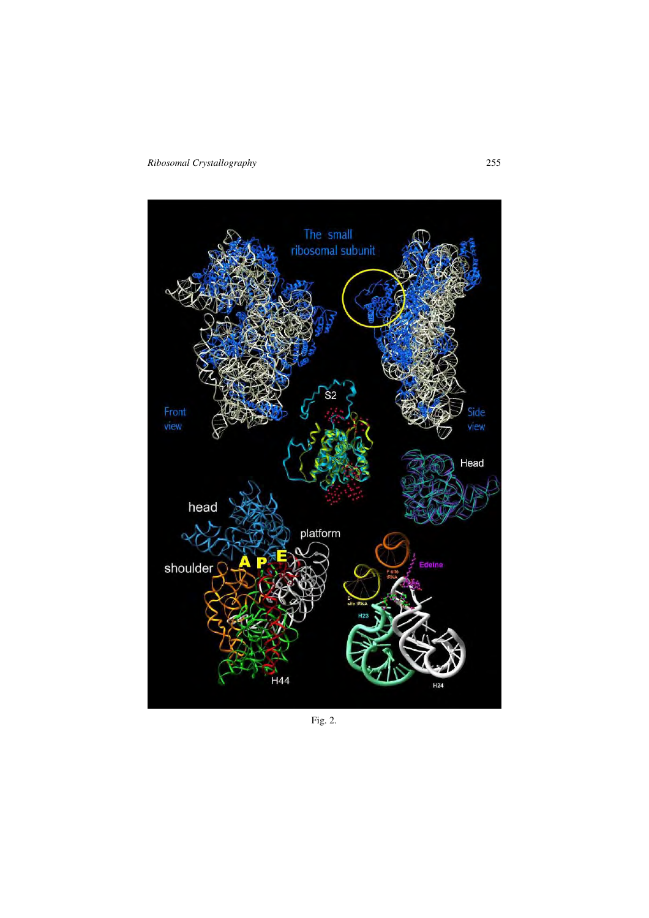

Fig. 2.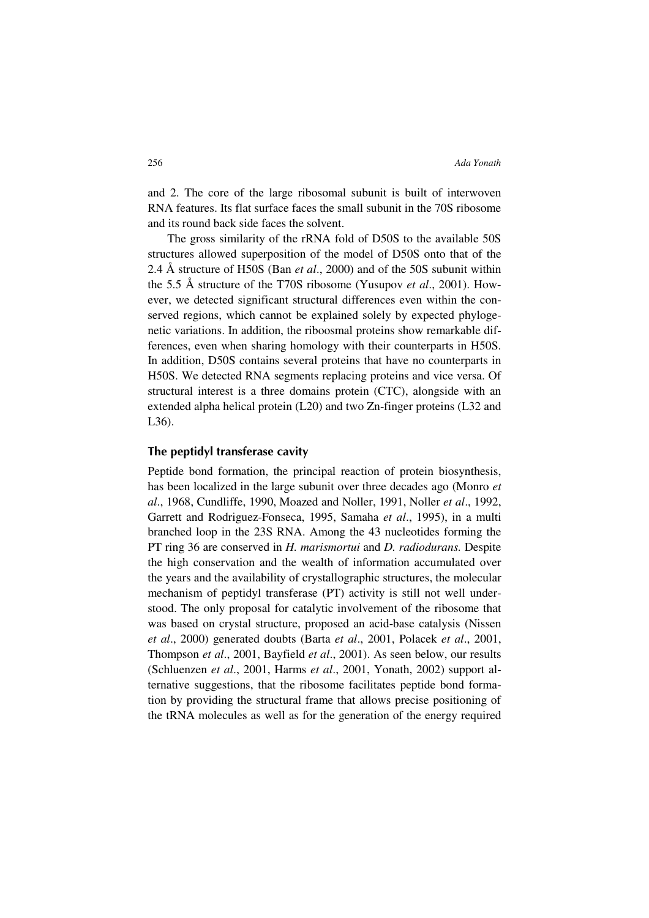and 2. The core of the large ribosomal subunit is built of interwoven RNA features. Its flat surface faces the small subunit in the 70S ribosome and its round back side faces the solvent.

The gross similarity of the rRNA fold of D50S to the available 50S structures allowed superposition of the model of D50S onto that of the 2.4 Å structure of H50S (Ban *et al*., 2000) and of the 50S subunit within the 5.5 Å structure of the T70S ribosome (Yusupov *et al*., 2001). However, we detected significant structural differences even within the conserved regions, which cannot be explained solely by expected phylogenetic variations. In addition, the riboosmal proteins show remarkable differences, even when sharing homology with their counterparts in H50S. In addition, D50S contains several proteins that have no counterparts in H50S. We detected RNA segments replacing proteins and vice versa. Of structural interest is a three domains protein (CTC), alongside with an extended alpha helical protein (L20) and two Zn-finger proteins (L32 and L36).

### **The peptidyl transferase cavity**

Peptide bond formation, the principal reaction of protein biosynthesis, has been localized in the large subunit over three decades ago (Monro *et al*., 1968, Cundliffe, 1990, Moazed and Noller, 1991, Noller *et al*., 1992, Garrett and Rodriguez-Fonseca, 1995, Samaha *et al*., 1995), in a multi branched loop in the 23S RNA. Among the 43 nucleotides forming the PT ring 36 are conserved in *H. marismortui* and *D. radiodurans.* Despite the high conservation and the wealth of information accumulated over the years and the availability of crystallographic structures, the molecular mechanism of peptidyl transferase (PT) activity is still not well understood. The only proposal for catalytic involvement of the ribosome that was based on crystal structure, proposed an acid-base catalysis (Nissen *et al*., 2000) generated doubts (Barta *et al*., 2001, Polacek *et al*., 2001, Thompson *et al*., 2001, Bayfield *et al*., 2001). As seen below, our results (Schluenzen *et al*., 2001, Harms *et al*., 2001, Yonath, 2002) support alternative suggestions, that the ribosome facilitates peptide bond formation by providing the structural frame that allows precise positioning of the tRNA molecules as well as for the generation of the energy required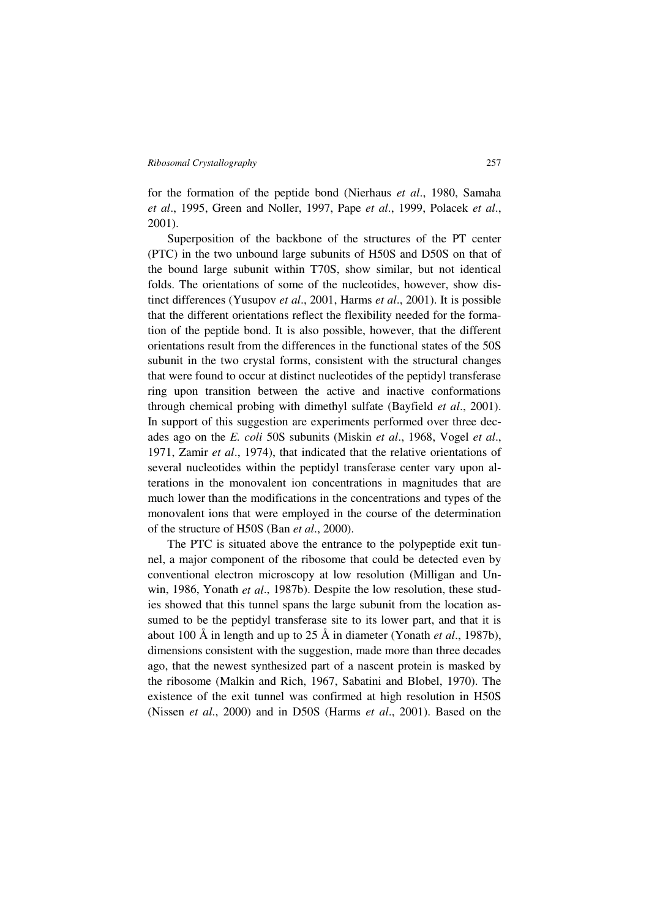for the formation of the peptide bond (Nierhaus *et al*., 1980, Samaha *et al*., 1995, Green and Noller, 1997, Pape *et al*., 1999, Polacek *et al*., 2001).

Superposition of the backbone of the structures of the PT center (PTC) in the two unbound large subunits of H50S and D50S on that of the bound large subunit within T70S, show similar, but not identical folds. The orientations of some of the nucleotides, however, show distinct differences (Yusupov *et al*., 2001, Harms *et al*., 2001). It is possible that the different orientations reflect the flexibility needed for the formation of the peptide bond. It is also possible, however, that the different orientations result from the differences in the functional states of the 50S subunit in the two crystal forms, consistent with the structural changes that were found to occur at distinct nucleotides of the peptidyl transferase ring upon transition between the active and inactive conformations through chemical probing with dimethyl sulfate (Bayfield *et al*., 2001). In support of this suggestion are experiments performed over three decades ago on the *E. coli* 50S subunits (Miskin *et al*., 1968, Vogel *et al*., 1971, Zamir *et al*., 1974), that indicated that the relative orientations of several nucleotides within the peptidyl transferase center vary upon alterations in the monovalent ion concentrations in magnitudes that are much lower than the modifications in the concentrations and types of the monovalent ions that were employed in the course of the determination of the structure of H50S (Ban *et al*., 2000).

The PTC is situated above the entrance to the polypeptide exit tunnel, a major component of the ribosome that could be detected even by conventional electron microscopy at low resolution (Milligan and Unwin, 1986, Yonath *et al*., 1987b). Despite the low resolution, these studies showed that this tunnel spans the large subunit from the location assumed to be the peptidyl transferase site to its lower part, and that it is about 100 Å in length and up to 25 Å in diameter (Yonath *et al*., 1987b), dimensions consistent with the suggestion, made more than three decades ago, that the newest synthesized part of a nascent protein is masked by the ribosome (Malkin and Rich, 1967, Sabatini and Blobel, 1970). The existence of the exit tunnel was confirmed at high resolution in H50S (Nissen *et al*., 2000) and in D50S (Harms *et al*., 2001). Based on the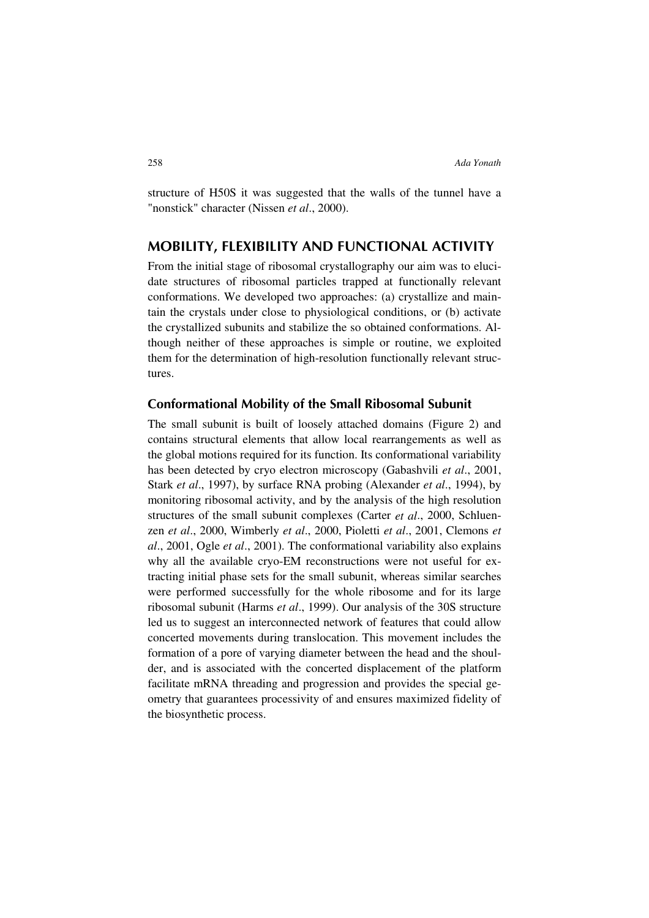structure of H50S it was suggested that the walls of the tunnel have a "nonstick" character (Nissen *et al*., 2000).

## **MOBILITY, FLEXIBILITY AND FUNCTIONAL ACTIVITY**

From the initial stage of ribosomal crystallography our aim was to elucidate structures of ribosomal particles trapped at functionally relevant conformations. We developed two approaches: (a) crystallize and maintain the crystals under close to physiological conditions, or (b) activate the crystallized subunits and stabilize the so obtained conformations. Although neither of these approaches is simple or routine, we exploited them for the determination of high-resolution functionally relevant structures.

### **Conformational Mobility of the Small Ribosomal Subunit**

The small subunit is built of loosely attached domains (Figure 2) and contains structural elements that allow local rearrangements as well as the global motions required for its function. Its conformational variability has been detected by cryo electron microscopy (Gabashvili *et al*., 2001, Stark *et al*., 1997), by surface RNA probing (Alexander *et al*., 1994), by monitoring ribosomal activity, and by the analysis of the high resolution structures of the small subunit complexes (Carter *et al*., 2000, Schluenzen *et al*., 2000, Wimberly *et al*., 2000, Pioletti *et al*., 2001, Clemons *et al*., 2001, Ogle *et al*., 2001). The conformational variability also explains why all the available cryo-EM reconstructions were not useful for extracting initial phase sets for the small subunit, whereas similar searches were performed successfully for the whole ribosome and for its large ribosomal subunit (Harms *et al*., 1999). Our analysis of the 30S structure led us to suggest an interconnected network of features that could allow concerted movements during translocation. This movement includes the formation of a pore of varying diameter between the head and the shoulder, and is associated with the concerted displacement of the platform facilitate mRNA threading and progression and provides the special geometry that guarantees processivity of and ensures maximized fidelity of the biosynthetic process.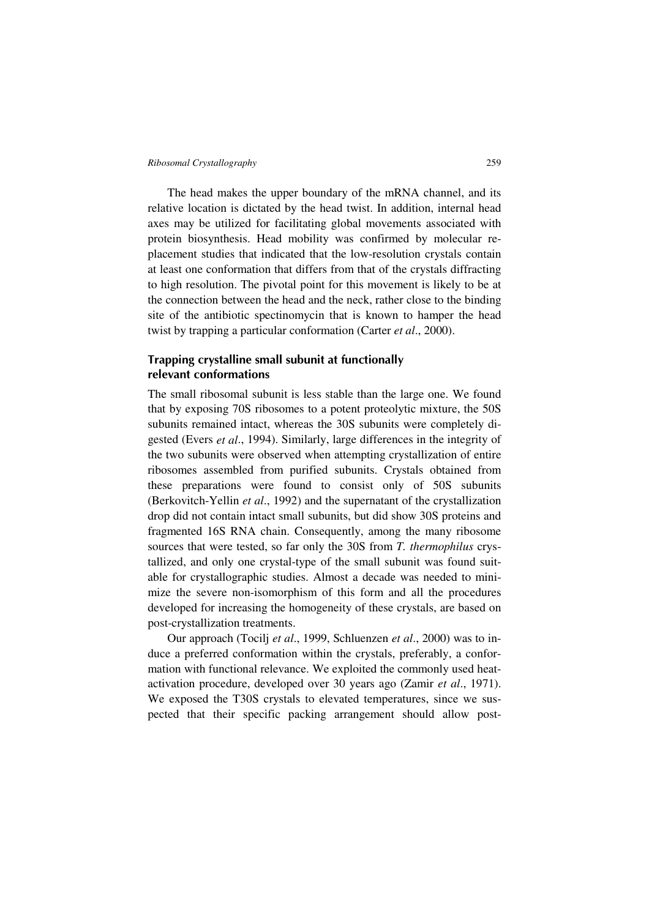The head makes the upper boundary of the mRNA channel, and its relative location is dictated by the head twist. In addition, internal head axes may be utilized for facilitating global movements associated with protein biosynthesis. Head mobility was confirmed by molecular replacement studies that indicated that the low-resolution crystals contain at least one conformation that differs from that of the crystals diffracting to high resolution. The pivotal point for this movement is likely to be at the connection between the head and the neck, rather close to the binding site of the antibiotic spectinomycin that is known to hamper the head twist by trapping a particular conformation (Carter *et al*., 2000).

## **Trapping crystalline small subunit at functionally relevant conformations**

The small ribosomal subunit is less stable than the large one. We found that by exposing 70S ribosomes to a potent proteolytic mixture, the 50S subunits remained intact, whereas the 30S subunits were completely digested (Evers *et al*., 1994). Similarly, large differences in the integrity of the two subunits were observed when attempting crystallization of entire ribosomes assembled from purified subunits. Crystals obtained from these preparations were found to consist only of 50S subunits (Berkovitch-Yellin *et al*., 1992) and the supernatant of the crystallization drop did not contain intact small subunits, but did show 30S proteins and fragmented 16S RNA chain. Consequently, among the many ribosome sources that were tested, so far only the 30S from *T. thermophilus* crystallized, and only one crystal-type of the small subunit was found suitable for crystallographic studies. Almost a decade was needed to minimize the severe non-isomorphism of this form and all the procedures developed for increasing the homogeneity of these crystals, are based on post-crystallization treatments.

Our approach (Tocilj *et al*., 1999, Schluenzen *et al*., 2000) was to induce a preferred conformation within the crystals, preferably, a conformation with functional relevance. We exploited the commonly used heatactivation procedure, developed over 30 years ago (Zamir *et al*., 1971). We exposed the T30S crystals to elevated temperatures, since we suspected that their specific packing arrangement should allow post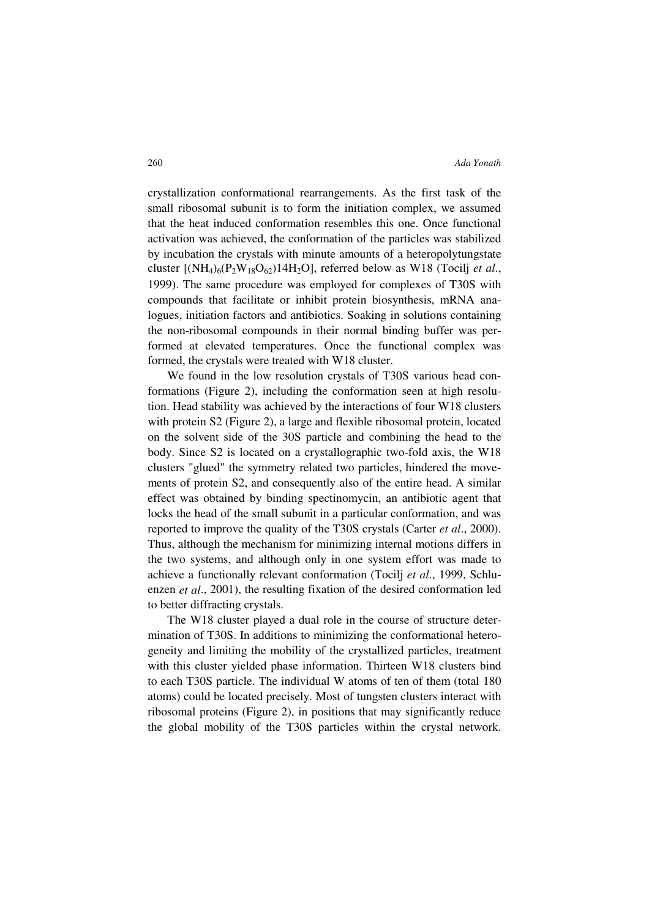crystallization conformational rearrangements. As the first task of the small ribosomal subunit is to form the initiation complex, we assumed that the heat induced conformation resembles this one. Once functional activation was achieved, the conformation of the particles was stabilized by incubation the crystals with minute amounts of a heteropolytungstate cluster  $[(NH_4)_6(P_2W_{18}O_{62})14H_2O]$ , referred below as W18 (Tocilj *et al.*, 1999). The same procedure was employed for complexes of T30S with compounds that facilitate or inhibit protein biosynthesis, mRNA analogues, initiation factors and antibiotics. Soaking in solutions containing the non-ribosomal compounds in their normal binding buffer was performed at elevated temperatures. Once the functional complex was formed, the crystals were treated with W18 cluster.

We found in the low resolution crystals of T30S various head conformations (Figure 2), including the conformation seen at high resolution. Head stability was achieved by the interactions of four W18 clusters with protein S2 (Figure 2), a large and flexible ribosomal protein, located on the solvent side of the 30S particle and combining the head to the body. Since S2 is located on a crystallographic two-fold axis, the W18 clusters "glued" the symmetry related two particles, hindered the movements of protein S2, and consequently also of the entire head. A similar effect was obtained by binding spectinomycin, an antibiotic agent that locks the head of the small subunit in a particular conformation, and was reported to improve the quality of the T30S crystals (Carter *et al*., 2000). Thus, although the mechanism for minimizing internal motions differs in the two systems, and although only in one system effort was made to achieve a functionally relevant conformation (Tocilj *et al*., 1999, Schluenzen *et al*., 2001), the resulting fixation of the desired conformation led to better diffracting crystals.

The W18 cluster played a dual role in the course of structure determination of T30S. In additions to minimizing the conformational heterogeneity and limiting the mobility of the crystallized particles, treatment with this cluster yielded phase information. Thirteen W18 clusters bind to each T30S particle. The individual W atoms of ten of them (total 180 atoms) could be located precisely. Most of tungsten clusters interact with ribosomal proteins (Figure 2), in positions that may significantly reduce the global mobility of the T30S particles within the crystal network.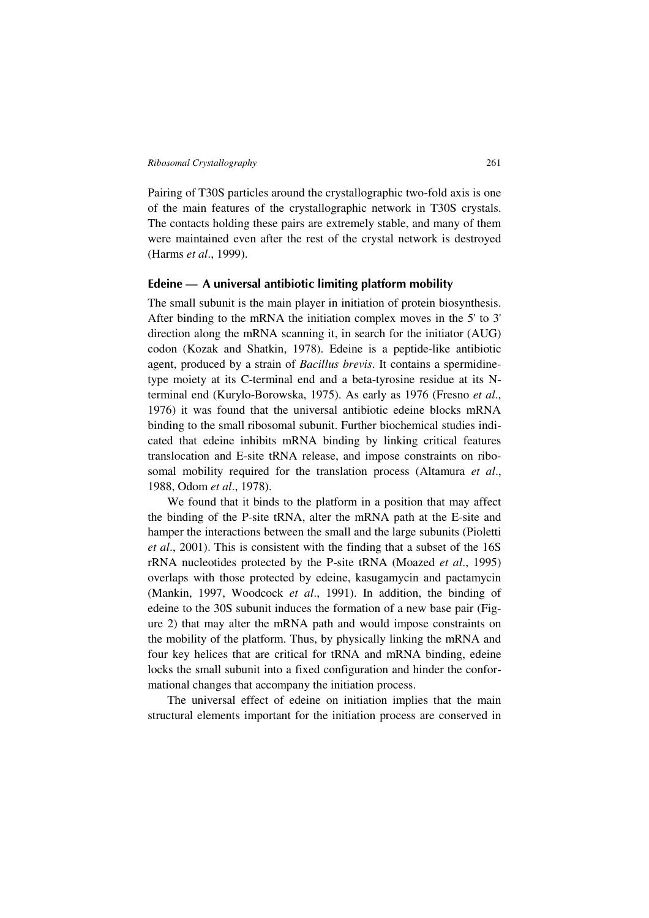Pairing of T30S particles around the crystallographic two-fold axis is one of the main features of the crystallographic network in T30S crystals. The contacts holding these pairs are extremely stable, and many of them were maintained even after the rest of the crystal network is destroyed (Harms *et al*., 1999).

#### **Edeine — A universal antibiotic limiting platform mobility**

The small subunit is the main player in initiation of protein biosynthesis. After binding to the mRNA the initiation complex moves in the 5' to 3' direction along the mRNA scanning it, in search for the initiator (AUG) codon (Kozak and Shatkin, 1978). Edeine is a peptide-like antibiotic agent, produced by a strain of *Bacillus brevis*. It contains a spermidinetype moiety at its C-terminal end and a beta-tyrosine residue at its Nterminal end (Kurylo-Borowska, 1975). As early as 1976 (Fresno *et al*., 1976) it was found that the universal antibiotic edeine blocks mRNA binding to the small ribosomal subunit. Further biochemical studies indicated that edeine inhibits mRNA binding by linking critical features translocation and E-site tRNA release, and impose constraints on ribosomal mobility required for the translation process (Altamura *et al*., 1988, Odom *et al*., 1978).

We found that it binds to the platform in a position that may affect the binding of the P-site tRNA, alter the mRNA path at the E-site and hamper the interactions between the small and the large subunits (Pioletti *et al*., 2001). This is consistent with the finding that a subset of the 16S rRNA nucleotides protected by the P-site tRNA (Moazed *et al*., 1995) overlaps with those protected by edeine, kasugamycin and pactamycin (Mankin, 1997, Woodcock *et al*., 1991). In addition, the binding of edeine to the 30S subunit induces the formation of a new base pair (Figure 2) that may alter the mRNA path and would impose constraints on the mobility of the platform. Thus, by physically linking the mRNA and four key helices that are critical for tRNA and mRNA binding, edeine locks the small subunit into a fixed configuration and hinder the conformational changes that accompany the initiation process.

The universal effect of edeine on initiation implies that the main structural elements important for the initiation process are conserved in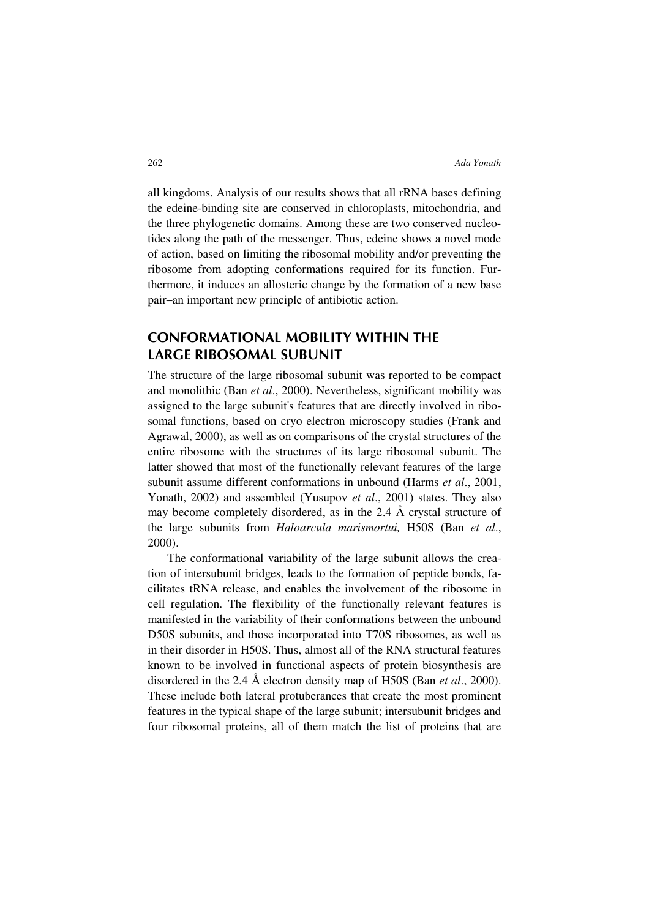all kingdoms. Analysis of our results shows that all rRNA bases defining the edeine-binding site are conserved in chloroplasts, mitochondria, and the three phylogenetic domains. Among these are two conserved nucleotides along the path of the messenger. Thus, edeine shows a novel mode of action, based on limiting the ribosomal mobility and/or preventing the ribosome from adopting conformations required for its function. Furthermore, it induces an allosteric change by the formation of a new base pair–an important new principle of antibiotic action.

## **CONFORMATIONAL MOBILITY WITHIN THE LARGE RIBOSOMAL SUBUNIT**

The structure of the large ribosomal subunit was reported to be compact and monolithic (Ban *et al*., 2000). Nevertheless, significant mobility was assigned to the large subunit's features that are directly involved in ribosomal functions, based on cryo electron microscopy studies (Frank and Agrawal, 2000), as well as on comparisons of the crystal structures of the entire ribosome with the structures of its large ribosomal subunit. The latter showed that most of the functionally relevant features of the large subunit assume different conformations in unbound (Harms *et al*., 2001, Yonath, 2002) and assembled (Yusupov *et al*., 2001) states. They also may become completely disordered, as in the 2.4 Å crystal structure of the large subunits from *Haloarcula marismortui,* H50S (Ban *et al*., 2000).

The conformational variability of the large subunit allows the creation of intersubunit bridges, leads to the formation of peptide bonds, facilitates tRNA release, and enables the involvement of the ribosome in cell regulation. The flexibility of the functionally relevant features is manifested in the variability of their conformations between the unbound D50S subunits, and those incorporated into T70S ribosomes, as well as in their disorder in H50S. Thus, almost all of the RNA structural features known to be involved in functional aspects of protein biosynthesis are disordered in the 2.4 Å electron density map of H50S (Ban *et al*., 2000). These include both lateral protuberances that create the most prominent features in the typical shape of the large subunit; intersubunit bridges and four ribosomal proteins, all of them match the list of proteins that are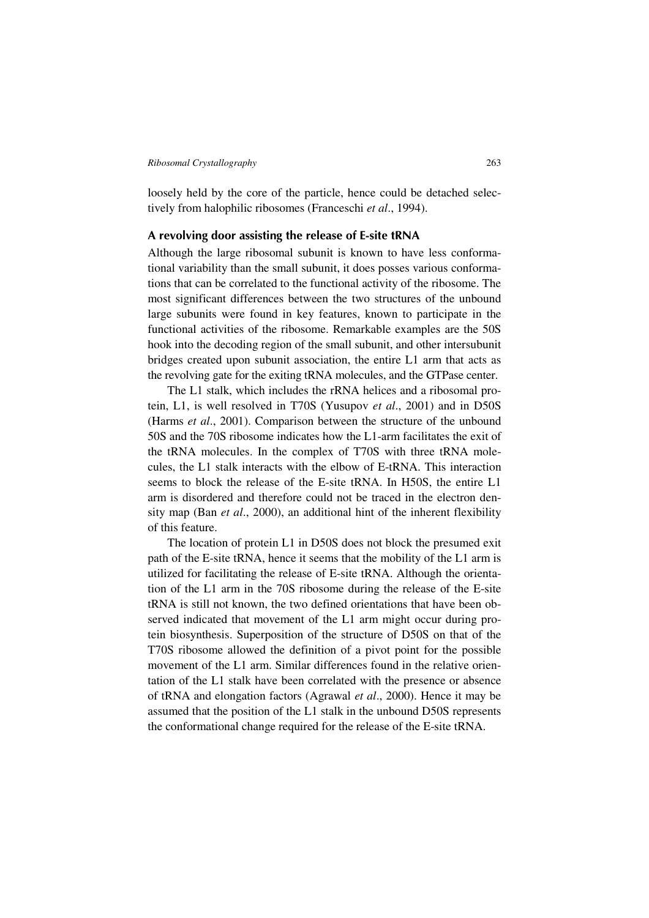loosely held by the core of the particle, hence could be detached selectively from halophilic ribosomes (Franceschi *et al*., 1994).

#### **A revolving door assisting the release of E-site tRNA**

Although the large ribosomal subunit is known to have less conformational variability than the small subunit, it does posses various conformations that can be correlated to the functional activity of the ribosome. The most significant differences between the two structures of the unbound large subunits were found in key features, known to participate in the functional activities of the ribosome. Remarkable examples are the 50S hook into the decoding region of the small subunit, and other intersubunit bridges created upon subunit association, the entire L1 arm that acts as the revolving gate for the exiting tRNA molecules, and the GTPase center.

The L1 stalk, which includes the rRNA helices and a ribosomal protein, L1, is well resolved in T70S (Yusupov *et al*., 2001) and in D50S (Harms *et al*., 2001). Comparison between the structure of the unbound 50S and the 70S ribosome indicates how the L1-arm facilitates the exit of the tRNA molecules. In the complex of T70S with three tRNA molecules, the L1 stalk interacts with the elbow of E-tRNA. This interaction seems to block the release of the E-site tRNA. In H50S, the entire L1 arm is disordered and therefore could not be traced in the electron density map (Ban *et al*., 2000), an additional hint of the inherent flexibility of this feature.

The location of protein L1 in D50S does not block the presumed exit path of the E-site tRNA, hence it seems that the mobility of the L1 arm is utilized for facilitating the release of E-site tRNA. Although the orientation of the L1 arm in the 70S ribosome during the release of the E-site tRNA is still not known, the two defined orientations that have been observed indicated that movement of the L1 arm might occur during protein biosynthesis. Superposition of the structure of D50S on that of the T70S ribosome allowed the definition of a pivot point for the possible movement of the L1 arm. Similar differences found in the relative orientation of the L1 stalk have been correlated with the presence or absence of tRNA and elongation factors (Agrawal *et al*., 2000). Hence it may be assumed that the position of the L1 stalk in the unbound D50S represents the conformational change required for the release of the E-site tRNA.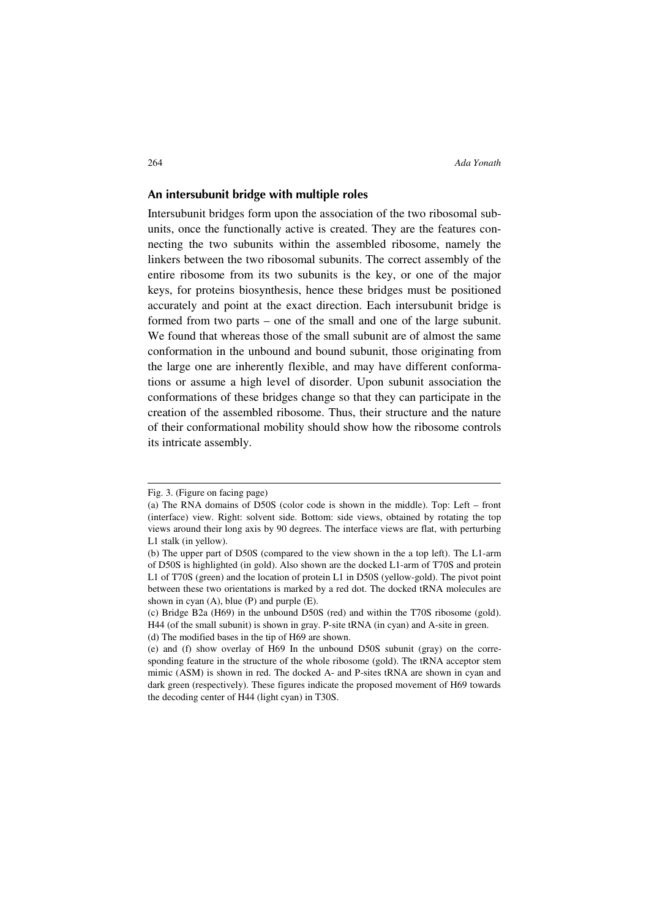#### **An intersubunit bridge with multiple roles**

Intersubunit bridges form upon the association of the two ribosomal subunits, once the functionally active is created. They are the features connecting the two subunits within the assembled ribosome, namely the linkers between the two ribosomal subunits. The correct assembly of the entire ribosome from its two subunits is the key, or one of the major keys, for proteins biosynthesis, hence these bridges must be positioned accurately and point at the exact direction. Each intersubunit bridge is formed from two parts – one of the small and one of the large subunit. We found that whereas those of the small subunit are of almost the same conformation in the unbound and bound subunit, those originating from the large one are inherently flexible, and may have different conformations or assume a high level of disorder. Upon subunit association the conformations of these bridges change so that they can participate in the creation of the assembled ribosome. Thus, their structure and the nature of their conformational mobility should show how the ribosome controls its intricate assembly.

Fig. 3. (Figure on facing page)

<sup>(</sup>a) The RNA domains of D50S (color code is shown in the middle). Top: Left – front (interface) view. Right: solvent side. Bottom: side views, obtained by rotating the top views around their long axis by 90 degrees. The interface views are flat, with perturbing L1 stalk (in yellow).

<sup>(</sup>b) The upper part of D50S (compared to the view shown in the a top left). The L1-arm of D50S is highlighted (in gold). Also shown are the docked L1-arm of T70S and protein L1 of T70S (green) and the location of protein L1 in D50S (yellow-gold). The pivot point between these two orientations is marked by a red dot. The docked tRNA molecules are shown in cyan (A), blue (P) and purple (E).

<sup>(</sup>c) Bridge B2a (H69) in the unbound D50S (red) and within the T70S ribosome (gold). H44 (of the small subunit) is shown in gray. P-site tRNA (in cyan) and A-site in green.

<sup>(</sup>d) The modified bases in the tip of H69 are shown.

<sup>(</sup>e) and (f) show overlay of H69 In the unbound D50S subunit (gray) on the corresponding feature in the structure of the whole ribosome (gold). The tRNA acceptor stem mimic (ASM) is shown in red. The docked A- and P-sites tRNA are shown in cyan and dark green (respectively). These figures indicate the proposed movement of H69 towards the decoding center of H44 (light cyan) in T30S.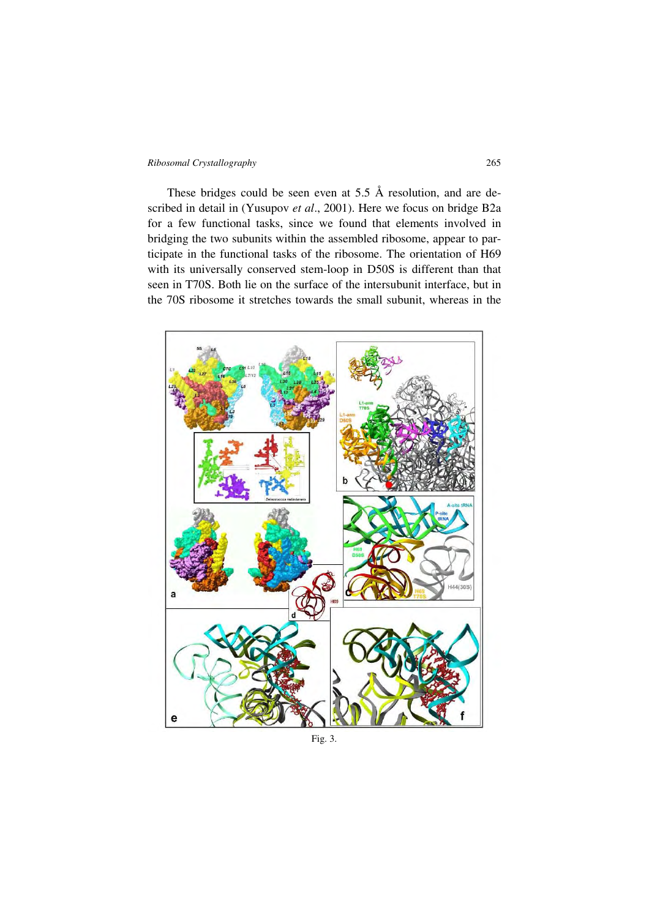These bridges could be seen even at 5.5 Å resolution, and are described in detail in (Yusupov *et al*., 2001). Here we focus on bridge B2a for a few functional tasks, since we found that elements involved in bridging the two subunits within the assembled ribosome, appear to participate in the functional tasks of the ribosome. The orientation of H69 with its universally conserved stem-loop in D50S is different than that seen in T70S. Both lie on the surface of the intersubunit interface, but in the 70S ribosome it stretches towards the small subunit, whereas in the



Fig. 3.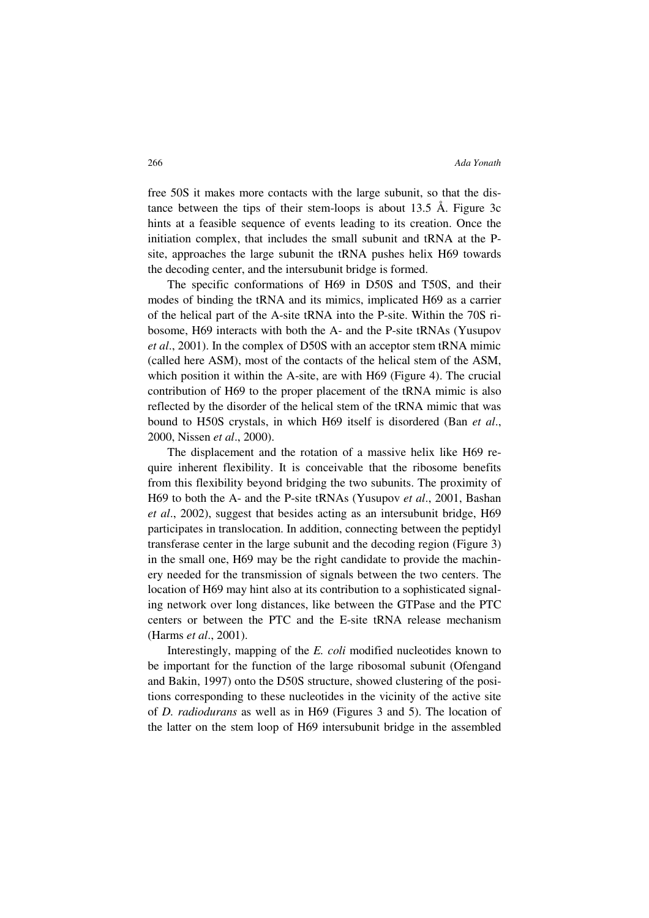free 50S it makes more contacts with the large subunit, so that the distance between the tips of their stem-loops is about 13.5 Å. Figure 3c hints at a feasible sequence of events leading to its creation. Once the initiation complex, that includes the small subunit and tRNA at the Psite, approaches the large subunit the tRNA pushes helix H69 towards the decoding center, and the intersubunit bridge is formed.

The specific conformations of H69 in D50S and T50S, and their modes of binding the tRNA and its mimics, implicated H69 as a carrier of the helical part of the A-site tRNA into the P-site. Within the 70S ribosome, H69 interacts with both the A- and the P-site tRNAs (Yusupov *et al*., 2001). In the complex of D50S with an acceptor stem tRNA mimic (called here ASM), most of the contacts of the helical stem of the ASM, which position it within the A-site, are with H69 (Figure 4). The crucial contribution of H69 to the proper placement of the tRNA mimic is also reflected by the disorder of the helical stem of the tRNA mimic that was bound to H50S crystals, in which H69 itself is disordered (Ban *et al*., 2000, Nissen *et al*., 2000).

The displacement and the rotation of a massive helix like H69 require inherent flexibility. It is conceivable that the ribosome benefits from this flexibility beyond bridging the two subunits. The proximity of H69 to both the A- and the P-site tRNAs (Yusupov *et al*., 2001, Bashan *et al*., 2002), suggest that besides acting as an intersubunit bridge, H69 participates in translocation. In addition, connecting between the peptidyl transferase center in the large subunit and the decoding region (Figure 3) in the small one, H69 may be the right candidate to provide the machinery needed for the transmission of signals between the two centers. The location of H69 may hint also at its contribution to a sophisticated signaling network over long distances, like between the GTPase and the PTC centers or between the PTC and the E-site tRNA release mechanism (Harms *et al*., 2001).

Interestingly, mapping of the *E. coli* modified nucleotides known to be important for the function of the large ribosomal subunit (Ofengand and Bakin, 1997) onto the D50S structure, showed clustering of the positions corresponding to these nucleotides in the vicinity of the active site of *D. radiodurans* as well as in H69 (Figures 3 and 5). The location of the latter on the stem loop of H69 intersubunit bridge in the assembled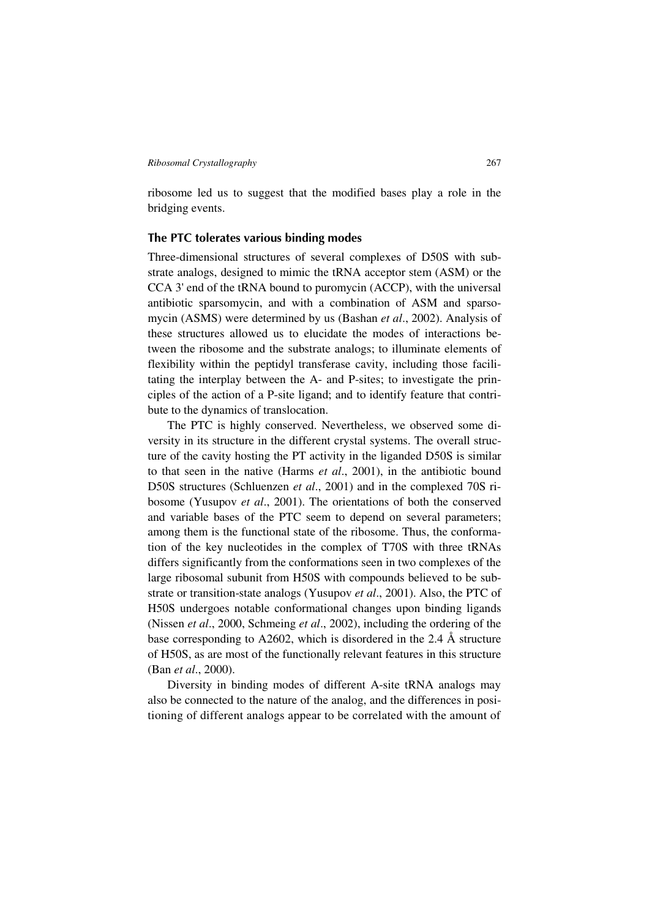ribosome led us to suggest that the modified bases play a role in the bridging events.

#### **The PTC tolerates various binding modes**

Three-dimensional structures of several complexes of D50S with substrate analogs, designed to mimic the tRNA acceptor stem (ASM) or the CCA 3' end of the tRNA bound to puromycin (ACCP), with the universal antibiotic sparsomycin, and with a combination of ASM and sparsomycin (ASMS) were determined by us (Bashan *et al*., 2002). Analysis of these structures allowed us to elucidate the modes of interactions between the ribosome and the substrate analogs; to illuminate elements of flexibility within the peptidyl transferase cavity, including those facilitating the interplay between the A- and P-sites; to investigate the principles of the action of a P-site ligand; and to identify feature that contribute to the dynamics of translocation.

The PTC is highly conserved. Nevertheless, we observed some diversity in its structure in the different crystal systems. The overall structure of the cavity hosting the PT activity in the liganded D50S is similar to that seen in the native (Harms *et al*., 2001), in the antibiotic bound D50S structures (Schluenzen *et al*., 2001) and in the complexed 70S ribosome (Yusupov *et al*., 2001). The orientations of both the conserved and variable bases of the PTC seem to depend on several parameters; among them is the functional state of the ribosome. Thus, the conformation of the key nucleotides in the complex of T70S with three tRNAs differs significantly from the conformations seen in two complexes of the large ribosomal subunit from H50S with compounds believed to be substrate or transition-state analogs (Yusupov *et al*., 2001). Also, the PTC of H50S undergoes notable conformational changes upon binding ligands (Nissen *et al*., 2000, Schmeing *et al*., 2002), including the ordering of the base corresponding to A2602, which is disordered in the 2.4 Å structure of H50S, as are most of the functionally relevant features in this structure (Ban *et al*., 2000).

Diversity in binding modes of different A-site tRNA analogs may also be connected to the nature of the analog, and the differences in positioning of different analogs appear to be correlated with the amount of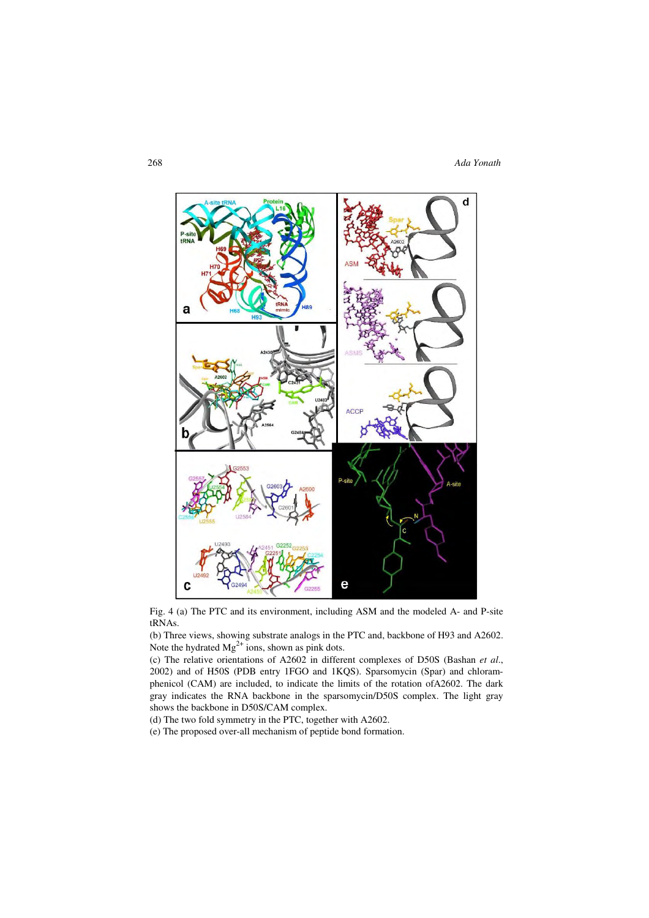

Fig. 4 (a) The PTC and its environment, including ASM and the modeled A- and P-site tRNAs.

(b) Three views, showing substrate analogs in the PTC and, backbone of H93 and A2602. Note the hydrated  $Mg^{2+}$  ions, shown as pink dots.

(c) The relative orientations of A2602 in different complexes of D50S (Bashan *et al*., 2002) and of H50S (PDB entry 1FGO and 1KQS). Sparsomycin (Spar) and chloramphenicol (CAM) are included, to indicate the limits of the rotation ofA2602. The dark gray indicates the RNA backbone in the sparsomycin/D50S complex. The light gray shows the backbone in D50S/CAM complex.

(d) The two fold symmetry in the PTC, together with A2602.

(e) The proposed over-all mechanism of peptide bond formation.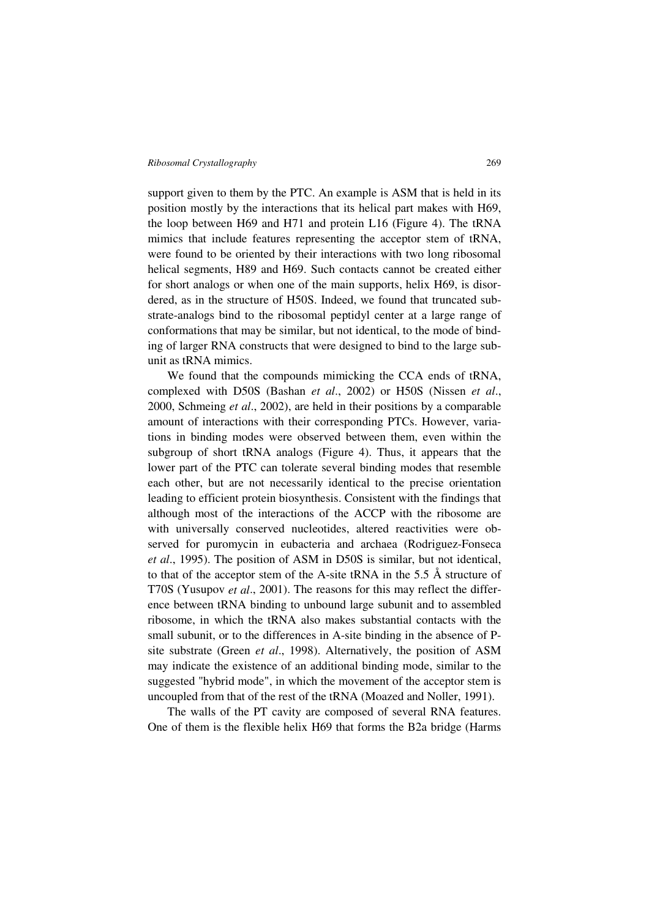support given to them by the PTC. An example is ASM that is held in its position mostly by the interactions that its helical part makes with H69, the loop between H69 and H71 and protein L16 (Figure 4). The tRNA mimics that include features representing the acceptor stem of tRNA, were found to be oriented by their interactions with two long ribosomal helical segments, H89 and H69. Such contacts cannot be created either for short analogs or when one of the main supports, helix H69, is disordered, as in the structure of H50S. Indeed, we found that truncated substrate-analogs bind to the ribosomal peptidyl center at a large range of conformations that may be similar, but not identical, to the mode of binding of larger RNA constructs that were designed to bind to the large subunit as tRNA mimics.

We found that the compounds mimicking the CCA ends of tRNA, complexed with D50S (Bashan *et al*., 2002) or H50S (Nissen *et al*., 2000, Schmeing *et al*., 2002), are held in their positions by a comparable amount of interactions with their corresponding PTCs. However, variations in binding modes were observed between them, even within the subgroup of short tRNA analogs (Figure 4). Thus, it appears that the lower part of the PTC can tolerate several binding modes that resemble each other, but are not necessarily identical to the precise orientation leading to efficient protein biosynthesis. Consistent with the findings that although most of the interactions of the ACCP with the ribosome are with universally conserved nucleotides, altered reactivities were observed for puromycin in eubacteria and archaea (Rodriguez-Fonseca *et al*., 1995). The position of ASM in D50S is similar, but not identical, to that of the acceptor stem of the A-site tRNA in the 5.5 Å structure of T70S (Yusupov *et al*., 2001). The reasons for this may reflect the difference between tRNA binding to unbound large subunit and to assembled ribosome, in which the tRNA also makes substantial contacts with the small subunit, or to the differences in A-site binding in the absence of Psite substrate (Green *et al*., 1998). Alternatively, the position of ASM may indicate the existence of an additional binding mode, similar to the suggested "hybrid mode", in which the movement of the acceptor stem is uncoupled from that of the rest of the tRNA (Moazed and Noller, 1991).

The walls of the PT cavity are composed of several RNA features. One of them is the flexible helix H69 that forms the B2a bridge (Harms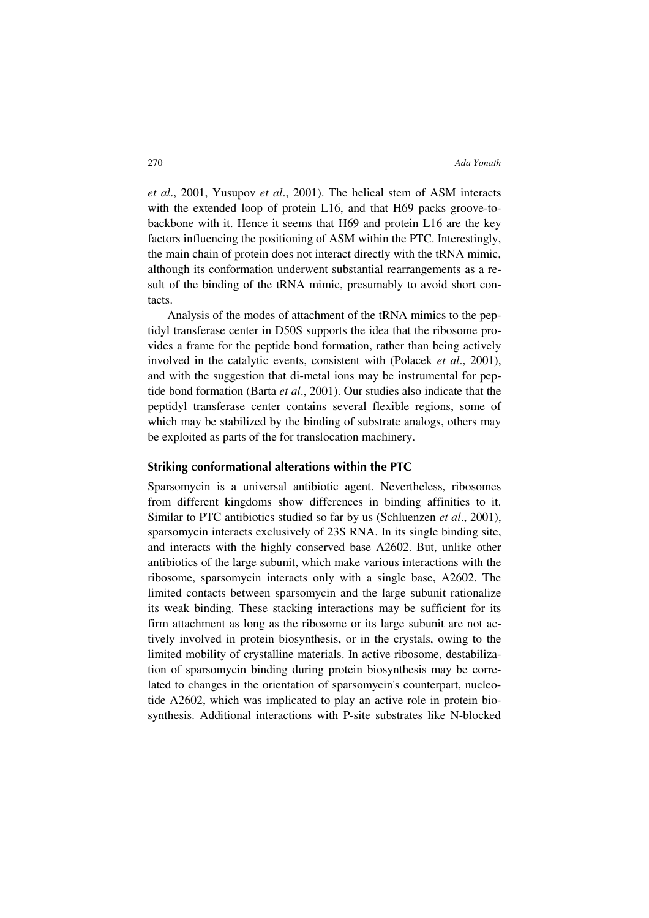*et al*., 2001, Yusupov *et al*., 2001). The helical stem of ASM interacts with the extended loop of protein L16, and that H69 packs groove-tobackbone with it. Hence it seems that H69 and protein L16 are the key factors influencing the positioning of ASM within the PTC. Interestingly, the main chain of protein does not interact directly with the tRNA mimic, although its conformation underwent substantial rearrangements as a result of the binding of the tRNA mimic, presumably to avoid short contacts.

Analysis of the modes of attachment of the tRNA mimics to the peptidyl transferase center in D50S supports the idea that the ribosome provides a frame for the peptide bond formation, rather than being actively involved in the catalytic events, consistent with (Polacek *et al*., 2001), and with the suggestion that di-metal ions may be instrumental for peptide bond formation (Barta *et al*., 2001). Our studies also indicate that the peptidyl transferase center contains several flexible regions, some of which may be stabilized by the binding of substrate analogs, others may be exploited as parts of the for translocation machinery.

#### **Striking conformational alterations within the PTC**

Sparsomycin is a universal antibiotic agent. Nevertheless, ribosomes from different kingdoms show differences in binding affinities to it. Similar to PTC antibiotics studied so far by us (Schluenzen *et al*., 2001), sparsomycin interacts exclusively of 23S RNA. In its single binding site, and interacts with the highly conserved base A2602. But, unlike other antibiotics of the large subunit, which make various interactions with the ribosome, sparsomycin interacts only with a single base, A2602. The limited contacts between sparsomycin and the large subunit rationalize its weak binding. These stacking interactions may be sufficient for its firm attachment as long as the ribosome or its large subunit are not actively involved in protein biosynthesis, or in the crystals, owing to the limited mobility of crystalline materials. In active ribosome, destabilization of sparsomycin binding during protein biosynthesis may be correlated to changes in the orientation of sparsomycin's counterpart, nucleotide A2602, which was implicated to play an active role in protein biosynthesis. Additional interactions with P-site substrates like N-blocked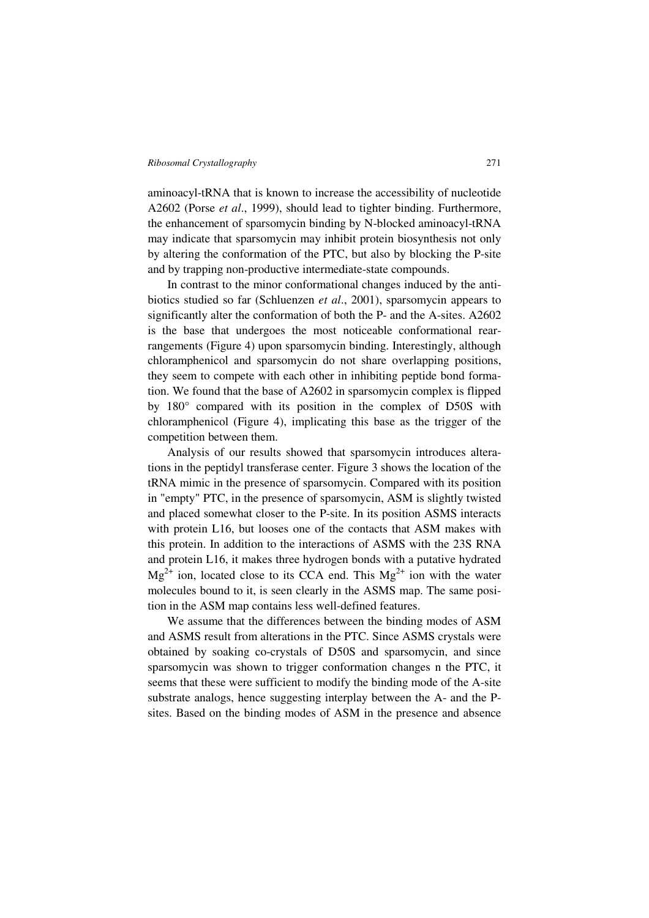aminoacyl-tRNA that is known to increase the accessibility of nucleotide A2602 (Porse *et al*., 1999), should lead to tighter binding. Furthermore, the enhancement of sparsomycin binding by N-blocked aminoacyl-tRNA may indicate that sparsomycin may inhibit protein biosynthesis not only by altering the conformation of the PTC, but also by blocking the P-site and by trapping non-productive intermediate-state compounds.

In contrast to the minor conformational changes induced by the antibiotics studied so far (Schluenzen *et al*., 2001), sparsomycin appears to significantly alter the conformation of both the P- and the A-sites. A2602 is the base that undergoes the most noticeable conformational rearrangements (Figure 4) upon sparsomycin binding. Interestingly, although chloramphenicol and sparsomycin do not share overlapping positions, they seem to compete with each other in inhibiting peptide bond formation. We found that the base of A2602 in sparsomycin complex is flipped by 180° compared with its position in the complex of D50S with chloramphenicol (Figure 4), implicating this base as the trigger of the competition between them.

Analysis of our results showed that sparsomycin introduces alterations in the peptidyl transferase center. Figure 3 shows the location of the tRNA mimic in the presence of sparsomycin. Compared with its position in "empty" PTC, in the presence of sparsomycin, ASM is slightly twisted and placed somewhat closer to the P-site. In its position ASMS interacts with protein L16, but looses one of the contacts that ASM makes with this protein. In addition to the interactions of ASMS with the 23S RNA and protein L16, it makes three hydrogen bonds with a putative hydrated  $Mg^{2+}$  ion, located close to its CCA end. This  $Mg^{2+}$  ion with the water molecules bound to it, is seen clearly in the ASMS map. The same position in the ASM map contains less well-defined features.

We assume that the differences between the binding modes of ASM and ASMS result from alterations in the PTC. Since ASMS crystals were obtained by soaking co-crystals of D50S and sparsomycin, and since sparsomycin was shown to trigger conformation changes n the PTC, it seems that these were sufficient to modify the binding mode of the A-site substrate analogs, hence suggesting interplay between the A- and the Psites. Based on the binding modes of ASM in the presence and absence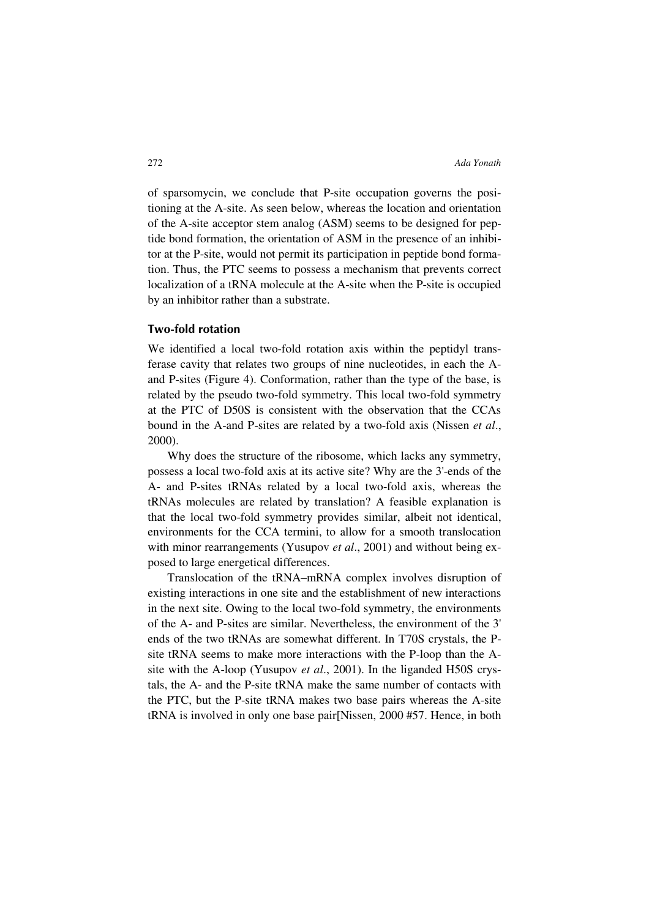of sparsomycin, we conclude that P-site occupation governs the positioning at the A-site. As seen below, whereas the location and orientation of the A-site acceptor stem analog (ASM) seems to be designed for peptide bond formation, the orientation of ASM in the presence of an inhibitor at the P-site, would not permit its participation in peptide bond formation. Thus, the PTC seems to possess a mechanism that prevents correct localization of a tRNA molecule at the A-site when the P-site is occupied by an inhibitor rather than a substrate.

### **Two-fold rotation**

We identified a local two-fold rotation axis within the peptidyl transferase cavity that relates two groups of nine nucleotides, in each the Aand P-sites (Figure 4). Conformation, rather than the type of the base, is related by the pseudo two-fold symmetry. This local two-fold symmetry at the PTC of D50S is consistent with the observation that the CCAs bound in the A-and P-sites are related by a two-fold axis (Nissen *et al*., 2000).

Why does the structure of the ribosome, which lacks any symmetry, possess a local two-fold axis at its active site? Why are the 3'-ends of the A- and P-sites tRNAs related by a local two-fold axis, whereas the tRNAs molecules are related by translation? A feasible explanation is that the local two-fold symmetry provides similar, albeit not identical, environments for the CCA termini, to allow for a smooth translocation with minor rearrangements (Yusupov *et al*., 2001) and without being exposed to large energetical differences.

Translocation of the tRNA–mRNA complex involves disruption of existing interactions in one site and the establishment of new interactions in the next site. Owing to the local two-fold symmetry, the environments of the A- and P-sites are similar. Nevertheless, the environment of the 3' ends of the two tRNAs are somewhat different. In T70S crystals, the Psite tRNA seems to make more interactions with the P-loop than the Asite with the A-loop (Yusupov *et al*., 2001). In the liganded H50S crystals, the A- and the P-site tRNA make the same number of contacts with the PTC, but the P-site tRNA makes two base pairs whereas the A-site tRNA is involved in only one base pair[Nissen, 2000 #57. Hence, in both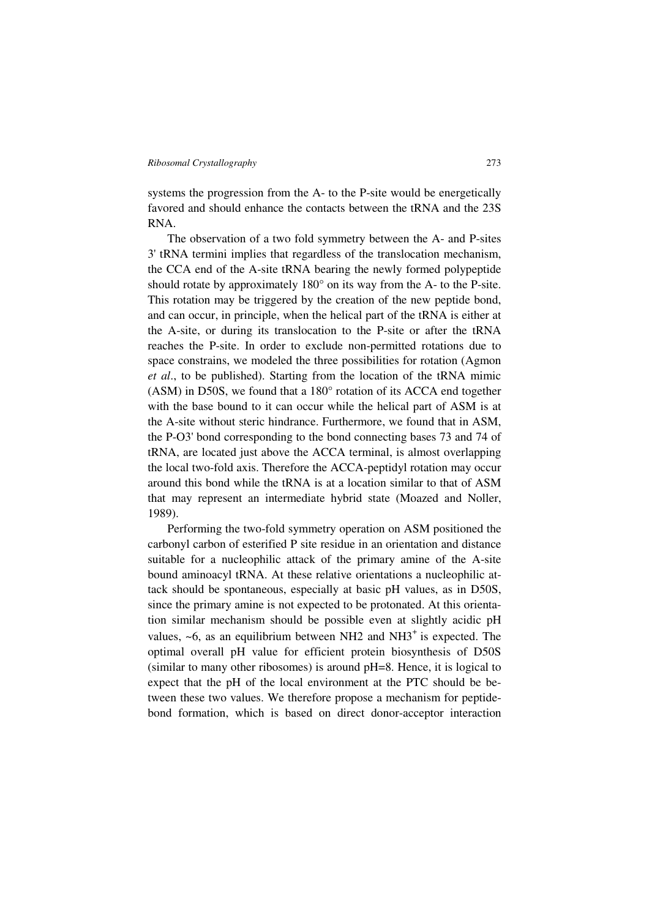systems the progression from the A- to the P-site would be energetically favored and should enhance the contacts between the tRNA and the 23S RNA.

The observation of a two fold symmetry between the A- and P-sites 3' tRNA termini implies that regardless of the translocation mechanism, the CCA end of the A-site tRNA bearing the newly formed polypeptide should rotate by approximately 180° on its way from the A- to the P-site. This rotation may be triggered by the creation of the new peptide bond, and can occur, in principle, when the helical part of the tRNA is either at the A-site, or during its translocation to the P-site or after the tRNA reaches the P-site. In order to exclude non-permitted rotations due to space constrains, we modeled the three possibilities for rotation (Agmon *et al*., to be published). Starting from the location of the tRNA mimic (ASM) in D50S, we found that a 180° rotation of its ACCA end together with the base bound to it can occur while the helical part of ASM is at the A-site without steric hindrance. Furthermore, we found that in ASM, the P-O3' bond corresponding to the bond connecting bases 73 and 74 of tRNA, are located just above the ACCA terminal, is almost overlapping the local two-fold axis. Therefore the ACCA-peptidyl rotation may occur around this bond while the tRNA is at a location similar to that of ASM that may represent an intermediate hybrid state (Moazed and Noller, 1989).

Performing the two-fold symmetry operation on ASM positioned the carbonyl carbon of esterified P site residue in an orientation and distance suitable for a nucleophilic attack of the primary amine of the A-site bound aminoacyl tRNA. At these relative orientations a nucleophilic attack should be spontaneous, especially at basic pH values, as in D50S, since the primary amine is not expected to be protonated. At this orientation similar mechanism should be possible even at slightly acidic pH values,  $\sim$ 6, as an equilibrium between NH2 and NH3<sup>+</sup> is expected. The optimal overall pH value for efficient protein biosynthesis of D50S (similar to many other ribosomes) is around pH=8. Hence, it is logical to expect that the pH of the local environment at the PTC should be between these two values. We therefore propose a mechanism for peptidebond formation, which is based on direct donor-acceptor interaction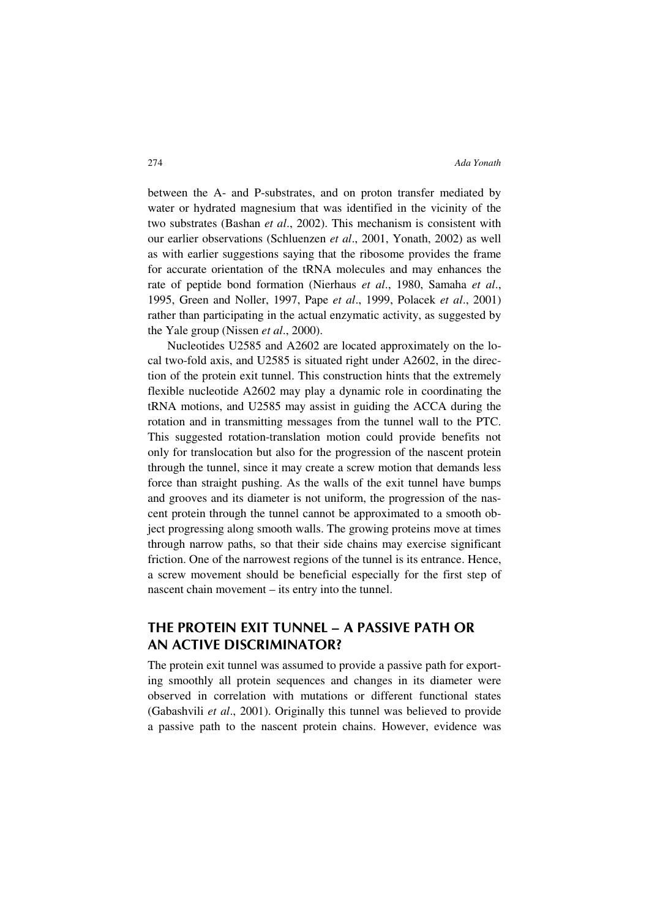between the A- and P-substrates, and on proton transfer mediated by water or hydrated magnesium that was identified in the vicinity of the two substrates (Bashan *et al*., 2002). This mechanism is consistent with our earlier observations (Schluenzen *et al*., 2001, Yonath, 2002) as well as with earlier suggestions saying that the ribosome provides the frame for accurate orientation of the tRNA molecules and may enhances the rate of peptide bond formation (Nierhaus *et al*., 1980, Samaha *et al*., 1995, Green and Noller, 1997, Pape *et al*., 1999, Polacek *et al*., 2001) rather than participating in the actual enzymatic activity, as suggested by the Yale group (Nissen *et al*., 2000).

Nucleotides U2585 and A2602 are located approximately on the local two-fold axis, and U2585 is situated right under A2602, in the direction of the protein exit tunnel. This construction hints that the extremely flexible nucleotide A2602 may play a dynamic role in coordinating the tRNA motions, and U2585 may assist in guiding the ACCA during the rotation and in transmitting messages from the tunnel wall to the PTC. This suggested rotation-translation motion could provide benefits not only for translocation but also for the progression of the nascent protein through the tunnel, since it may create a screw motion that demands less force than straight pushing. As the walls of the exit tunnel have bumps and grooves and its diameter is not uniform, the progression of the nascent protein through the tunnel cannot be approximated to a smooth object progressing along smooth walls. The growing proteins move at times through narrow paths, so that their side chains may exercise significant friction. One of the narrowest regions of the tunnel is its entrance. Hence, a screw movement should be beneficial especially for the first step of nascent chain movement – its entry into the tunnel.

## **THE PROTEIN EXIT TUNNEL – A PASSIVE PATH OR AN ACTIVE DISCRIMINATOR?**

The protein exit tunnel was assumed to provide a passive path for exporting smoothly all protein sequences and changes in its diameter were observed in correlation with mutations or different functional states (Gabashvili *et al*., 2001). Originally this tunnel was believed to provide a passive path to the nascent protein chains. However, evidence was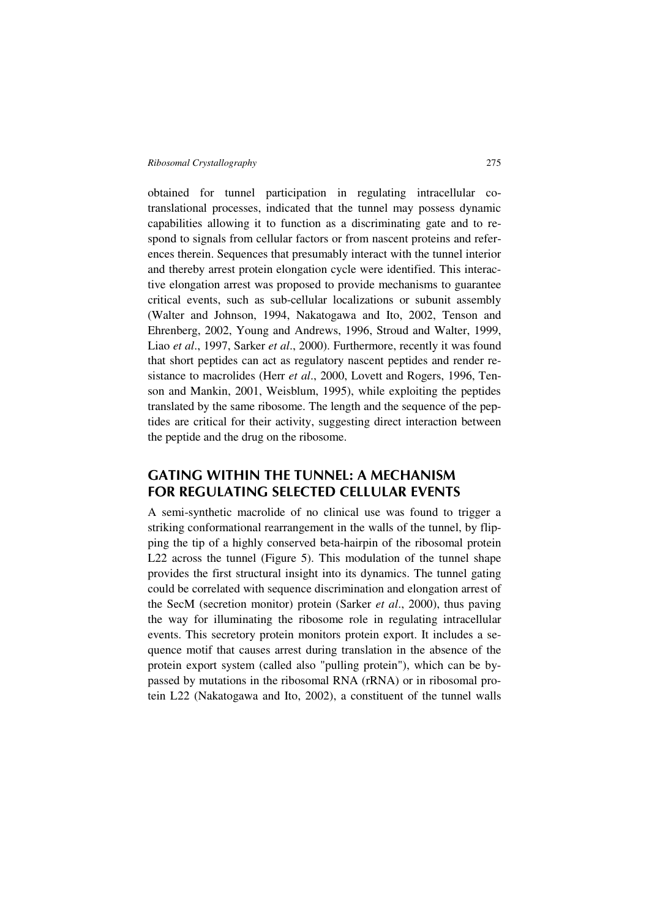obtained for tunnel participation in regulating intracellular cotranslational processes, indicated that the tunnel may possess dynamic capabilities allowing it to function as a discriminating gate and to respond to signals from cellular factors or from nascent proteins and references therein. Sequences that presumably interact with the tunnel interior and thereby arrest protein elongation cycle were identified. This interactive elongation arrest was proposed to provide mechanisms to guarantee critical events, such as sub-cellular localizations or subunit assembly (Walter and Johnson, 1994, Nakatogawa and Ito, 2002, Tenson and Ehrenberg, 2002, Young and Andrews, 1996, Stroud and Walter, 1999, Liao *et al*., 1997, Sarker *et al*., 2000). Furthermore, recently it was found that short peptides can act as regulatory nascent peptides and render resistance to macrolides (Herr *et al*., 2000, Lovett and Rogers, 1996, Tenson and Mankin, 2001, Weisblum, 1995), while exploiting the peptides translated by the same ribosome. The length and the sequence of the peptides are critical for their activity, suggesting direct interaction between the peptide and the drug on the ribosome.

## **GATING WITHIN THE TUNNEL: A MECHANISM FOR REGULATING SELECTED CELLULAR EVENTS**

A semi-synthetic macrolide of no clinical use was found to trigger a striking conformational rearrangement in the walls of the tunnel, by flipping the tip of a highly conserved beta-hairpin of the ribosomal protein L22 across the tunnel (Figure 5). This modulation of the tunnel shape provides the first structural insight into its dynamics. The tunnel gating could be correlated with sequence discrimination and elongation arrest of the SecM (secretion monitor) protein (Sarker *et al*., 2000), thus paving the way for illuminating the ribosome role in regulating intracellular events. This secretory protein monitors protein export. It includes a sequence motif that causes arrest during translation in the absence of the protein export system (called also "pulling protein"), which can be bypassed by mutations in the ribosomal RNA (rRNA) or in ribosomal protein L22 (Nakatogawa and Ito, 2002), a constituent of the tunnel walls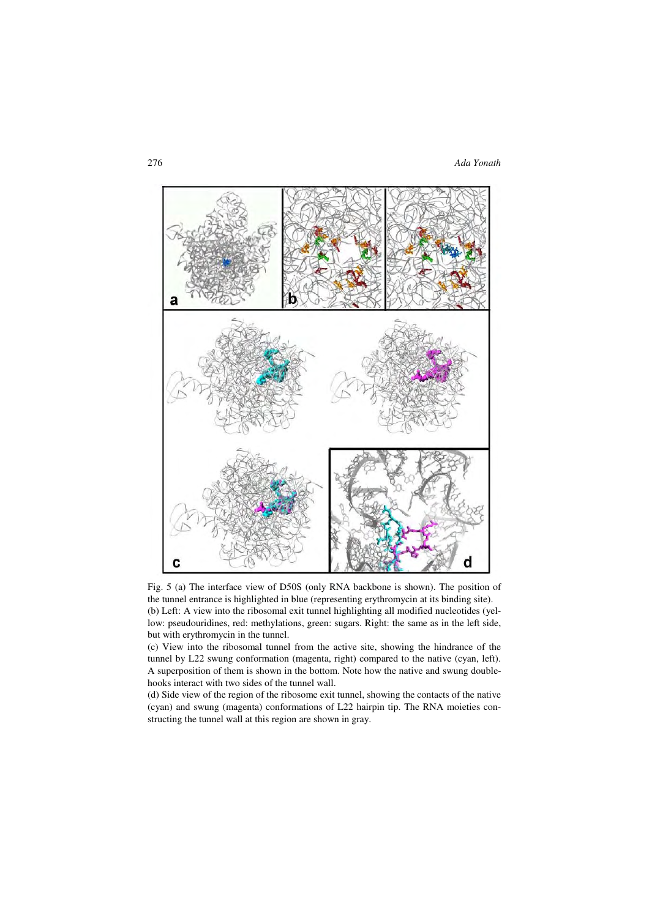

Fig. 5 (a) The interface view of D50S (only RNA backbone is shown). The position of the tunnel entrance is highlighted in blue (representing erythromycin at its binding site). (b) Left: A view into the ribosomal exit tunnel highlighting all modified nucleotides (yellow: pseudouridines, red: methylations, green: sugars. Right: the same as in the left side, but with erythromycin in the tunnel.

(c) View into the ribosomal tunnel from the active site, showing the hindrance of the tunnel by L22 swung conformation (magenta, right) compared to the native (cyan, left). A superposition of them is shown in the bottom. Note how the native and swung doublehooks interact with two sides of the tunnel wall.

(d) Side view of the region of the ribosome exit tunnel, showing the contacts of the native (cyan) and swung (magenta) conformations of L22 hairpin tip. The RNA moieties constructing the tunnel wall at this region are shown in gray.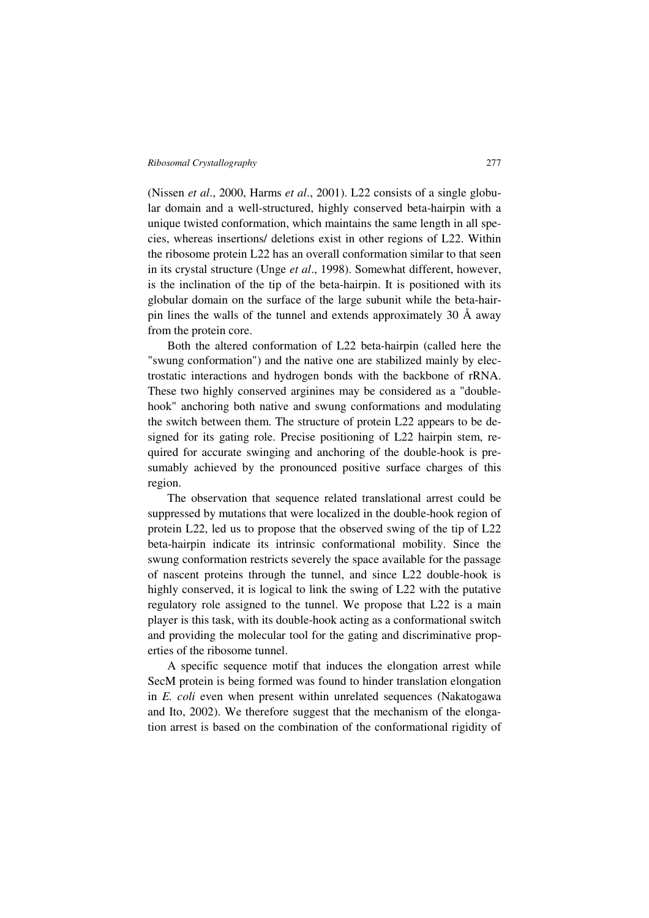(Nissen *et al*., 2000, Harms *et al*., 2001). L22 consists of a single globular domain and a well-structured, highly conserved beta-hairpin with a unique twisted conformation, which maintains the same length in all species, whereas insertions/ deletions exist in other regions of L22. Within the ribosome protein L22 has an overall conformation similar to that seen in its crystal structure (Unge *et al*., 1998). Somewhat different, however, is the inclination of the tip of the beta-hairpin. It is positioned with its globular domain on the surface of the large subunit while the beta-hairpin lines the walls of the tunnel and extends approximately 30 Å away from the protein core.

Both the altered conformation of L22 beta-hairpin (called here the "swung conformation") and the native one are stabilized mainly by electrostatic interactions and hydrogen bonds with the backbone of rRNA. These two highly conserved arginines may be considered as a "doublehook" anchoring both native and swung conformations and modulating the switch between them. The structure of protein L22 appears to be designed for its gating role. Precise positioning of L22 hairpin stem, required for accurate swinging and anchoring of the double-hook is presumably achieved by the pronounced positive surface charges of this region.

The observation that sequence related translational arrest could be suppressed by mutations that were localized in the double-hook region of protein L22, led us to propose that the observed swing of the tip of L22 beta-hairpin indicate its intrinsic conformational mobility. Since the swung conformation restricts severely the space available for the passage of nascent proteins through the tunnel, and since L22 double-hook is highly conserved, it is logical to link the swing of L22 with the putative regulatory role assigned to the tunnel. We propose that L22 is a main player is this task, with its double-hook acting as a conformational switch and providing the molecular tool for the gating and discriminative properties of the ribosome tunnel.

A specific sequence motif that induces the elongation arrest while SecM protein is being formed was found to hinder translation elongation in *E. coli* even when present within unrelated sequences (Nakatogawa and Ito, 2002). We therefore suggest that the mechanism of the elongation arrest is based on the combination of the conformational rigidity of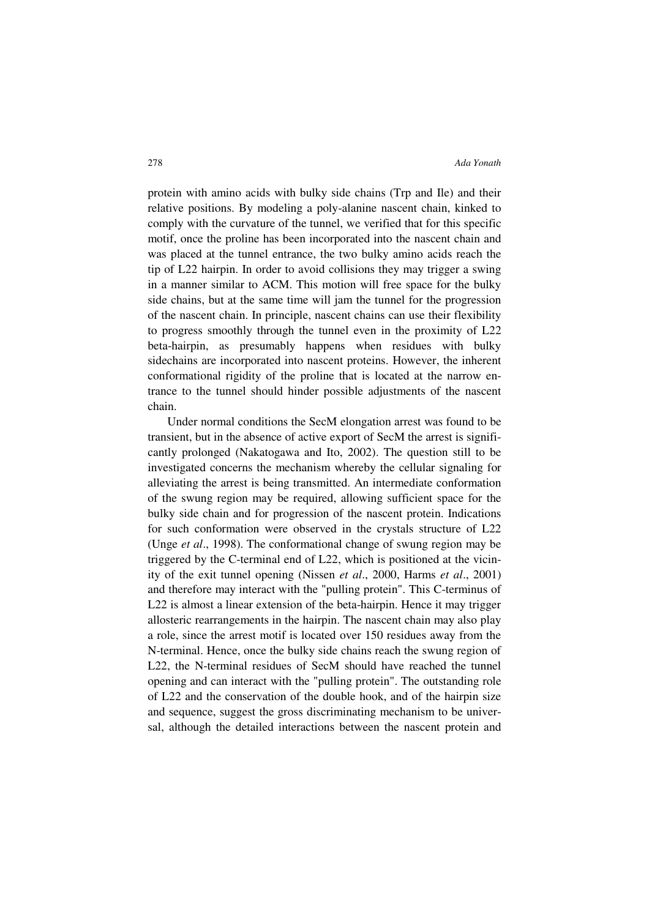protein with amino acids with bulky side chains (Trp and Ile) and their relative positions. By modeling a poly-alanine nascent chain, kinked to comply with the curvature of the tunnel, we verified that for this specific motif, once the proline has been incorporated into the nascent chain and was placed at the tunnel entrance, the two bulky amino acids reach the tip of L22 hairpin. In order to avoid collisions they may trigger a swing in a manner similar to ACM. This motion will free space for the bulky side chains, but at the same time will jam the tunnel for the progression of the nascent chain. In principle, nascent chains can use their flexibility to progress smoothly through the tunnel even in the proximity of L22 beta-hairpin, as presumably happens when residues with bulky sidechains are incorporated into nascent proteins. However, the inherent conformational rigidity of the proline that is located at the narrow entrance to the tunnel should hinder possible adjustments of the nascent chain.

Under normal conditions the SecM elongation arrest was found to be transient, but in the absence of active export of SecM the arrest is significantly prolonged (Nakatogawa and Ito, 2002). The question still to be investigated concerns the mechanism whereby the cellular signaling for alleviating the arrest is being transmitted. An intermediate conformation of the swung region may be required, allowing sufficient space for the bulky side chain and for progression of the nascent protein. Indications for such conformation were observed in the crystals structure of L22 (Unge *et al*., 1998). The conformational change of swung region may be triggered by the C-terminal end of L22, which is positioned at the vicinity of the exit tunnel opening (Nissen *et al*., 2000, Harms *et al*., 2001) and therefore may interact with the "pulling protein". This C-terminus of L22 is almost a linear extension of the beta-hairpin. Hence it may trigger allosteric rearrangements in the hairpin. The nascent chain may also play a role, since the arrest motif is located over 150 residues away from the N-terminal. Hence, once the bulky side chains reach the swung region of L22, the N-terminal residues of SecM should have reached the tunnel opening and can interact with the "pulling protein". The outstanding role of L22 and the conservation of the double hook, and of the hairpin size and sequence, suggest the gross discriminating mechanism to be universal, although the detailed interactions between the nascent protein and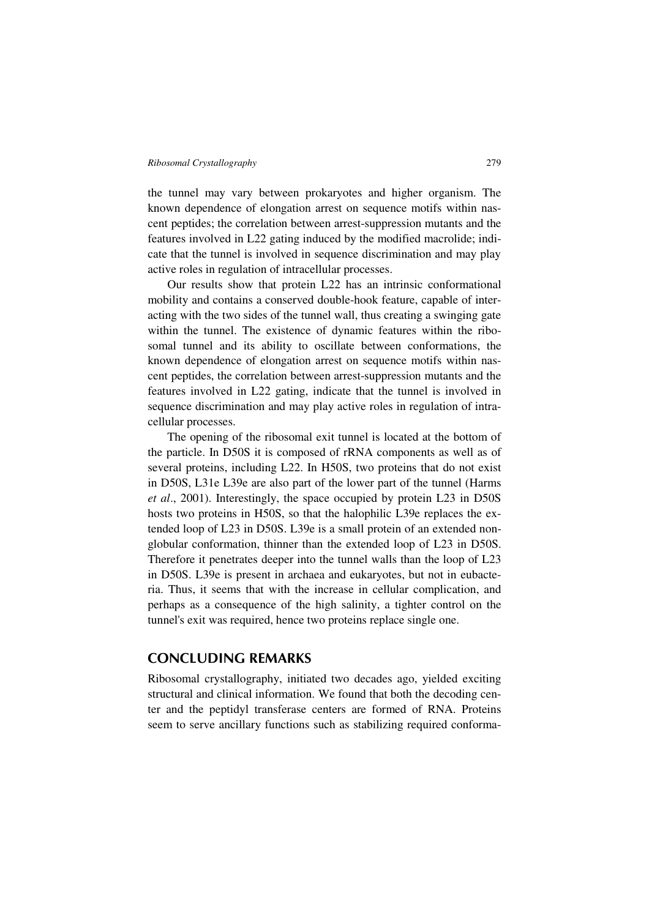the tunnel may vary between prokaryotes and higher organism. The known dependence of elongation arrest on sequence motifs within nascent peptides; the correlation between arrest-suppression mutants and the features involved in L22 gating induced by the modified macrolide; indicate that the tunnel is involved in sequence discrimination and may play active roles in regulation of intracellular processes.

Our results show that protein L22 has an intrinsic conformational mobility and contains a conserved double-hook feature, capable of interacting with the two sides of the tunnel wall, thus creating a swinging gate within the tunnel. The existence of dynamic features within the ribosomal tunnel and its ability to oscillate between conformations, the known dependence of elongation arrest on sequence motifs within nascent peptides, the correlation between arrest-suppression mutants and the features involved in L22 gating, indicate that the tunnel is involved in sequence discrimination and may play active roles in regulation of intracellular processes.

The opening of the ribosomal exit tunnel is located at the bottom of the particle. In D50S it is composed of rRNA components as well as of several proteins, including L22. In H50S, two proteins that do not exist in D50S, L31e L39e are also part of the lower part of the tunnel (Harms *et al*., 2001). Interestingly, the space occupied by protein L23 in D50S hosts two proteins in H50S, so that the halophilic L39e replaces the extended loop of L23 in D50S. L39e is a small protein of an extended nonglobular conformation, thinner than the extended loop of L23 in D50S. Therefore it penetrates deeper into the tunnel walls than the loop of L23 in D50S. L39e is present in archaea and eukaryotes, but not in eubacteria. Thus, it seems that with the increase in cellular complication, and perhaps as a consequence of the high salinity, a tighter control on the tunnel's exit was required, hence two proteins replace single one.

### **CONCLUDING REMARKS**

Ribosomal crystallography, initiated two decades ago, yielded exciting structural and clinical information. We found that both the decoding center and the peptidyl transferase centers are formed of RNA. Proteins seem to serve ancillary functions such as stabilizing required conforma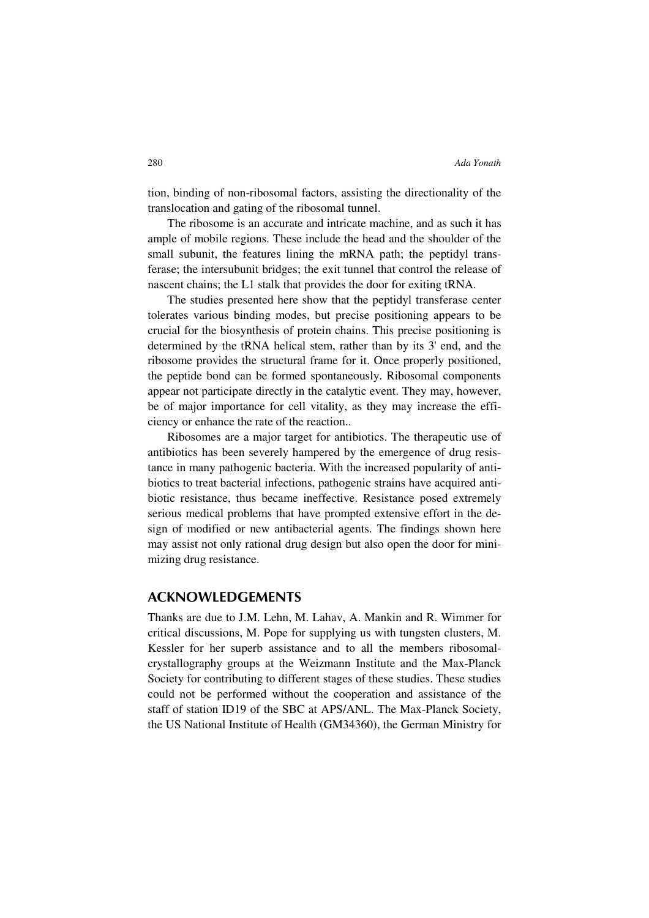tion, binding of non-ribosomal factors, assisting the directionality of the translocation and gating of the ribosomal tunnel.

The ribosome is an accurate and intricate machine, and as such it has ample of mobile regions. These include the head and the shoulder of the small subunit, the features lining the mRNA path; the peptidyl transferase; the intersubunit bridges; the exit tunnel that control the release of nascent chains; the L1 stalk that provides the door for exiting tRNA.

The studies presented here show that the peptidyl transferase center tolerates various binding modes, but precise positioning appears to be crucial for the biosynthesis of protein chains. This precise positioning is determined by the tRNA helical stem, rather than by its 3' end, and the ribosome provides the structural frame for it. Once properly positioned, the peptide bond can be formed spontaneously. Ribosomal components appear not participate directly in the catalytic event. They may, however, be of major importance for cell vitality, as they may increase the efficiency or enhance the rate of the reaction..

Ribosomes are a major target for antibiotics. The therapeutic use of antibiotics has been severely hampered by the emergence of drug resistance in many pathogenic bacteria. With the increased popularity of antibiotics to treat bacterial infections, pathogenic strains have acquired antibiotic resistance, thus became ineffective. Resistance posed extremely serious medical problems that have prompted extensive effort in the design of modified or new antibacterial agents. The findings shown here may assist not only rational drug design but also open the door for minimizing drug resistance.

#### **ACKNOWLEDGEMENTS**

Thanks are due to J.M. Lehn, M. Lahav, A. Mankin and R. Wimmer for critical discussions, M. Pope for supplying us with tungsten clusters, M. Kessler for her superb assistance and to all the members ribosomalcrystallography groups at the Weizmann Institute and the Max-Planck Society for contributing to different stages of these studies. These studies could not be performed without the cooperation and assistance of the staff of station ID19 of the SBC at APS/ANL. The Max-Planck Society, the US National Institute of Health (GM34360), the German Ministry for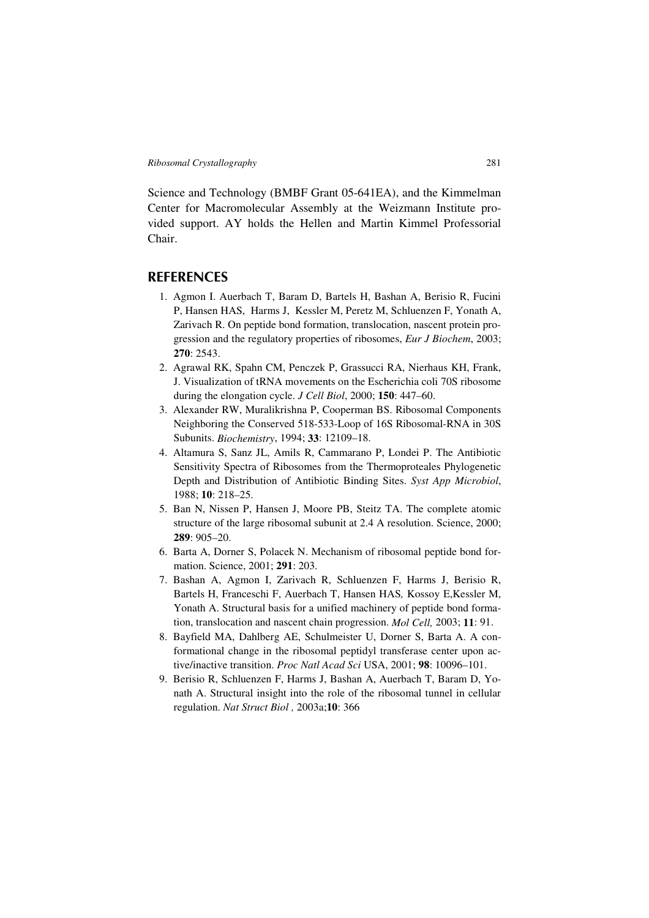Science and Technology (BMBF Grant 05-641EA), and the Kimmelman Center for Macromolecular Assembly at the Weizmann Institute provided support. AY holds the Hellen and Martin Kimmel Professorial Chair.

### **REFERENCES**

- 1. Agmon I. Auerbach T, Baram D, Bartels H, Bashan A, Berisio R, Fucini P, Hansen HAS, Harms J, Kessler M, Peretz M, Schluenzen F, Yonath A, Zarivach R. On peptide bond formation, translocation, nascent protein progression and the regulatory properties of ribosomes, *Eur J Biochem*, 2003; **270**: 2543.
- 2. Agrawal RK, Spahn CM, Penczek P, Grassucci RA, Nierhaus KH, Frank, J. Visualization of tRNA movements on the Escherichia coli 70S ribosome during the elongation cycle. *J Cell Biol*, 2000; **150**: 447–60.
- 3. Alexander RW, Muralikrishna P, Cooperman BS. Ribosomal Components Neighboring the Conserved 518-533-Loop of 16S Ribosomal-RNA in 30S Subunits. *Biochemistry*, 1994; **33**: 12109–18.
- 4. Altamura S, Sanz JL, Amils R, Cammarano P, Londei P. The Antibiotic Sensitivity Spectra of Ribosomes from the Thermoproteales Phylogenetic Depth and Distribution of Antibiotic Binding Sites. *Syst App Microbiol*, 1988; **10**: 218–25.
- 5. Ban N, Nissen P, Hansen J, Moore PB, Steitz TA. The complete atomic structure of the large ribosomal subunit at 2.4 A resolution. Science, 2000; **289**: 905–20.
- 6. Barta A, Dorner S, Polacek N. Mechanism of ribosomal peptide bond formation. Science, 2001; **291**: 203.
- 7. Bashan A, Agmon I, Zarivach R, Schluenzen F, Harms J, Berisio R, Bartels H, Franceschi F, Auerbach T, Hansen HAS*,* Kossoy E,Kessler M, Yonath A. Structural basis for a unified machinery of peptide bond formation, translocation and nascent chain progression. *Mol Cell,* 2003; **11**: 91.
- 8. Bayfield MA, Dahlberg AE, Schulmeister U, Dorner S, Barta A. A conformational change in the ribosomal peptidyl transferase center upon active/inactive transition. *Proc Natl Acad Sci* USA, 2001; **98**: 10096–101.
- 9. Berisio R, Schluenzen F, Harms J, Bashan A, Auerbach T, Baram D, Yonath A. Structural insight into the role of the ribosomal tunnel in cellular regulation. *Nat Struct Biol ,* 2003a;**10**: 366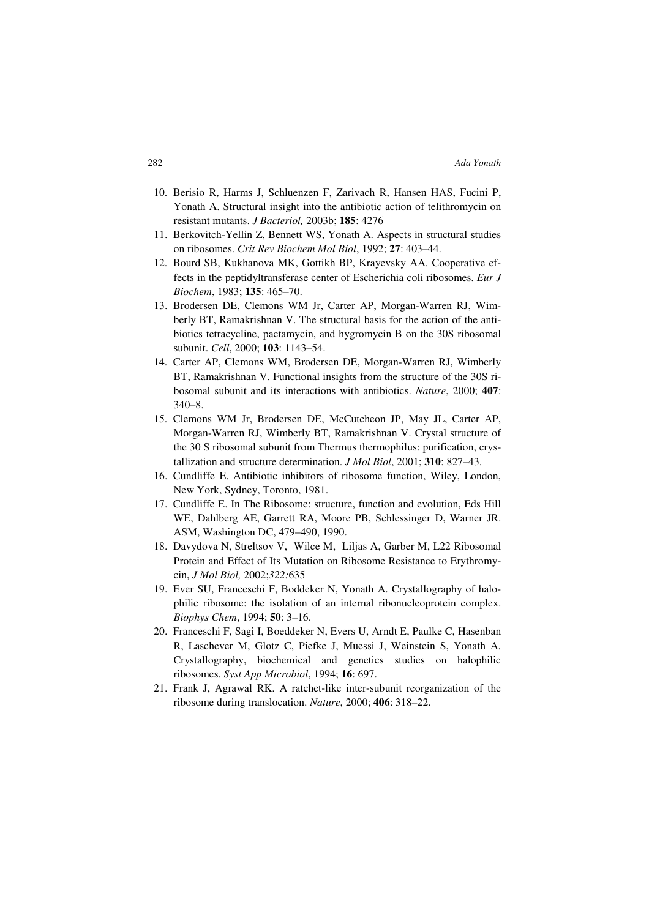- 10. Berisio R, Harms J, Schluenzen F, Zarivach R, Hansen HAS, Fucini P, Yonath A. Structural insight into the antibiotic action of telithromycin on resistant mutants. *J Bacteriol,* 2003b; **185**: 4276
- 11. Berkovitch-Yellin Z, Bennett WS, Yonath A. Aspects in structural studies on ribosomes. *Crit Rev Biochem Mol Biol*, 1992; **27**: 403–44.
- 12. Bourd SB, Kukhanova MK, Gottikh BP, Krayevsky AA. Cooperative effects in the peptidyltransferase center of Escherichia coli ribosomes. *Eur J Biochem*, 1983; **135**: 465–70.
- 13. Brodersen DE, Clemons WM Jr, Carter AP, Morgan-Warren RJ, Wimberly BT, Ramakrishnan V. The structural basis for the action of the antibiotics tetracycline, pactamycin, and hygromycin B on the 30S ribosomal subunit. *Cell*, 2000; **103**: 1143–54.
- 14. Carter AP, Clemons WM, Brodersen DE, Morgan-Warren RJ, Wimberly BT, Ramakrishnan V. Functional insights from the structure of the 30S ribosomal subunit and its interactions with antibiotics. *Nature*, 2000; **407**: 340–8.
- 15. Clemons WM Jr, Brodersen DE, McCutcheon JP, May JL, Carter AP, Morgan-Warren RJ, Wimberly BT, Ramakrishnan V. Crystal structure of the 30 S ribosomal subunit from Thermus thermophilus: purification, crystallization and structure determination. *J Mol Biol*, 2001; **310**: 827–43.
- 16. Cundliffe E. Antibiotic inhibitors of ribosome function, Wiley, London, New York, Sydney, Toronto, 1981.
- 17. Cundliffe E. In The Ribosome: structure, function and evolution, Eds Hill WE, Dahlberg AE, Garrett RA, Moore PB, Schlessinger D, Warner JR. ASM, Washington DC, 479–490, 1990.
- 18. Davydova N, Streltsov V, Wilce M, Liljas A, Garber M, L22 Ribosomal Protein and Effect of Its Mutation on Ribosome Resistance to Erythromycin, *J Mol Biol,* 2002;*322:*635
- 19. Ever SU, Franceschi F, Boddeker N, Yonath A. Crystallography of halophilic ribosome: the isolation of an internal ribonucleoprotein complex. *Biophys Chem*, 1994; **50**: 3–16.
- 20. Franceschi F, Sagi I, Boeddeker N, Evers U, Arndt E, Paulke C, Hasenban R, Laschever M, Glotz C, Piefke J, Muessi J, Weinstein S, Yonath A. Crystallography, biochemical and genetics studies on halophilic ribosomes. *Syst App Microbiol*, 1994; **16**: 697.
- 21. Frank J, Agrawal RK. A ratchet-like inter-subunit reorganization of the ribosome during translocation. *Nature*, 2000; **406**: 318–22.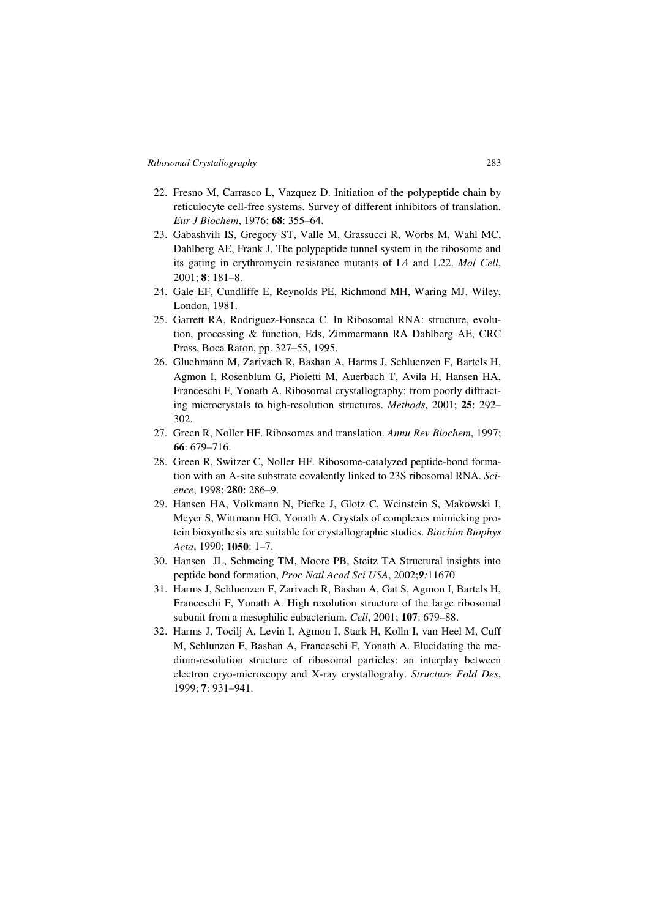- 22. Fresno M, Carrasco L, Vazquez D. Initiation of the polypeptide chain by reticulocyte cell-free systems. Survey of different inhibitors of translation. *Eur J Biochem*, 1976; **68**: 355–64.
- 23. Gabashvili IS, Gregory ST, Valle M, Grassucci R, Worbs M, Wahl MC, Dahlberg AE, Frank J. The polypeptide tunnel system in the ribosome and its gating in erythromycin resistance mutants of L4 and L22. *Mol Cell*, 2001; **8**: 181–8.
- 24. Gale EF, Cundliffe E, Reynolds PE, Richmond MH, Waring MJ. Wiley, London, 1981.
- 25. Garrett RA, Rodriguez-Fonseca C. In Ribosomal RNA: structure, evolution, processing & function, Eds, Zimmermann RA Dahlberg AE, CRC Press, Boca Raton, pp. 327–55, 1995.
- 26. Gluehmann M, Zarivach R, Bashan A, Harms J, Schluenzen F, Bartels H, Agmon I, Rosenblum G, Pioletti M, Auerbach T, Avila H, Hansen HA, Franceschi F, Yonath A. Ribosomal crystallography: from poorly diffracting microcrystals to high-resolution structures. *Methods*, 2001; **25**: 292– 302.
- 27. Green R, Noller HF. Ribosomes and translation. *Annu Rev Biochem*, 1997; **66**: 679–716.
- 28. Green R, Switzer C, Noller HF. Ribosome-catalyzed peptide-bond formation with an A-site substrate covalently linked to 23S ribosomal RNA. *Science*, 1998; **280**: 286–9.
- 29. Hansen HA, Volkmann N, Piefke J, Glotz C, Weinstein S, Makowski I, Meyer S, Wittmann HG, Yonath A. Crystals of complexes mimicking protein biosynthesis are suitable for crystallographic studies. *Biochim Biophys Acta*, 1990; **1050**: 1–7.
- 30. Hansen JL, Schmeing TM, Moore PB, Steitz TA Structural insights into peptide bond formation, *Proc Natl Acad Sci USA*, 2002;*9:*11670
- 31. Harms J, Schluenzen F, Zarivach R, Bashan A, Gat S, Agmon I, Bartels H, Franceschi F, Yonath A. High resolution structure of the large ribosomal subunit from a mesophilic eubacterium. *Cell*, 2001; **107**: 679–88.
- 32. Harms J, Tocilj A, Levin I, Agmon I, Stark H, Kolln I, van Heel M, Cuff M, Schlunzen F, Bashan A, Franceschi F, Yonath A. Elucidating the medium-resolution structure of ribosomal particles: an interplay between electron cryo-microscopy and X-ray crystallograhy. *Structure Fold Des*, 1999; **7**: 931–941.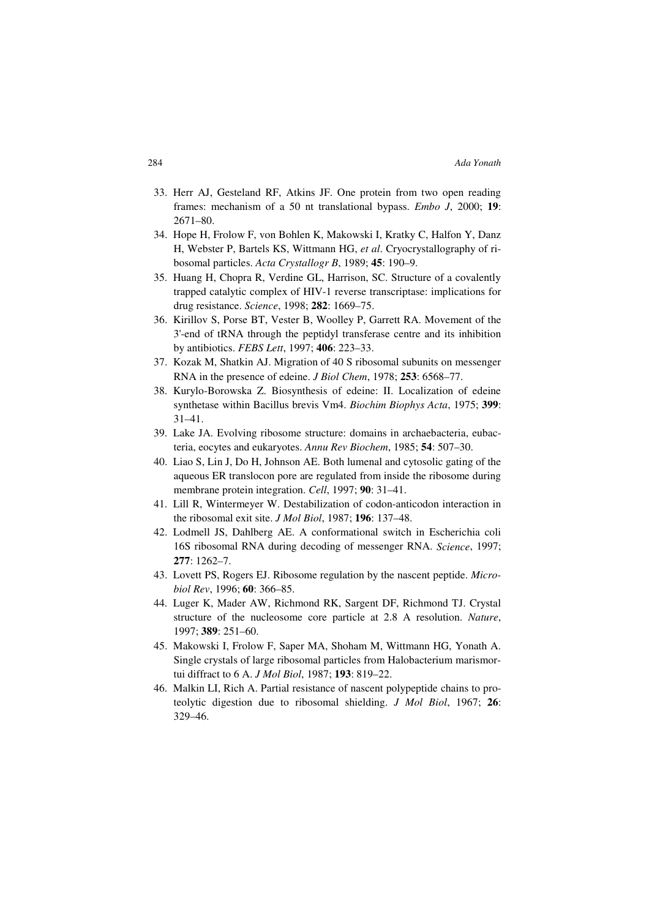- 33. Herr AJ, Gesteland RF, Atkins JF. One protein from two open reading frames: mechanism of a 50 nt translational bypass. *Embo J*, 2000; **19**: 2671–80.
- 34. Hope H, Frolow F, von Bohlen K, Makowski I, Kratky C, Halfon Y, Danz H, Webster P, Bartels KS, Wittmann HG, *et al*. Cryocrystallography of ribosomal particles. *Acta Crystallogr B*, 1989; **45**: 190–9.
- 35. Huang H, Chopra R, Verdine GL, Harrison, SC. Structure of a covalently trapped catalytic complex of HIV-1 reverse transcriptase: implications for drug resistance. *Science*, 1998; **282**: 1669–75.
- 36. Kirillov S, Porse BT, Vester B, Woolley P, Garrett RA. Movement of the 3'-end of tRNA through the peptidyl transferase centre and its inhibition by antibiotics. *FEBS Lett*, 1997; **406**: 223–33.
- 37. Kozak M, Shatkin AJ. Migration of 40 S ribosomal subunits on messenger RNA in the presence of edeine. *J Biol Chem*, 1978; **253**: 6568–77.
- 38. Kurylo-Borowska Z. Biosynthesis of edeine: II. Localization of edeine synthetase within Bacillus brevis Vm4. *Biochim Biophys Acta*, 1975; **399**: 31–41.
- 39. Lake JA. Evolving ribosome structure: domains in archaebacteria, eubacteria, eocytes and eukaryotes. *Annu Rev Biochem*, 1985; **54**: 507–30.
- 40. Liao S, Lin J, Do H, Johnson AE. Both lumenal and cytosolic gating of the aqueous ER translocon pore are regulated from inside the ribosome during membrane protein integration. *Cell*, 1997; **90**: 31–41.
- 41. Lill R, Wintermeyer W. Destabilization of codon-anticodon interaction in the ribosomal exit site. *J Mol Biol*, 1987; **196**: 137–48.
- 42. Lodmell JS, Dahlberg AE. A conformational switch in Escherichia coli 16S ribosomal RNA during decoding of messenger RNA. *Science*, 1997; **277**: 1262–7.
- 43. Lovett PS, Rogers EJ. Ribosome regulation by the nascent peptide. *Microbiol Rev*, 1996; **60**: 366–85.
- 44. Luger K, Mader AW, Richmond RK, Sargent DF, Richmond TJ. Crystal structure of the nucleosome core particle at 2.8 A resolution. *Nature*, 1997; **389**: 251–60.
- 45. Makowski I, Frolow F, Saper MA, Shoham M, Wittmann HG, Yonath A. Single crystals of large ribosomal particles from Halobacterium marismortui diffract to 6 A. *J Mol Biol*, 1987; **193**: 819–22.
- 46. Malkin LI, Rich A. Partial resistance of nascent polypeptide chains to proteolytic digestion due to ribosomal shielding. *J Mol Biol*, 1967; **26**: 329–46.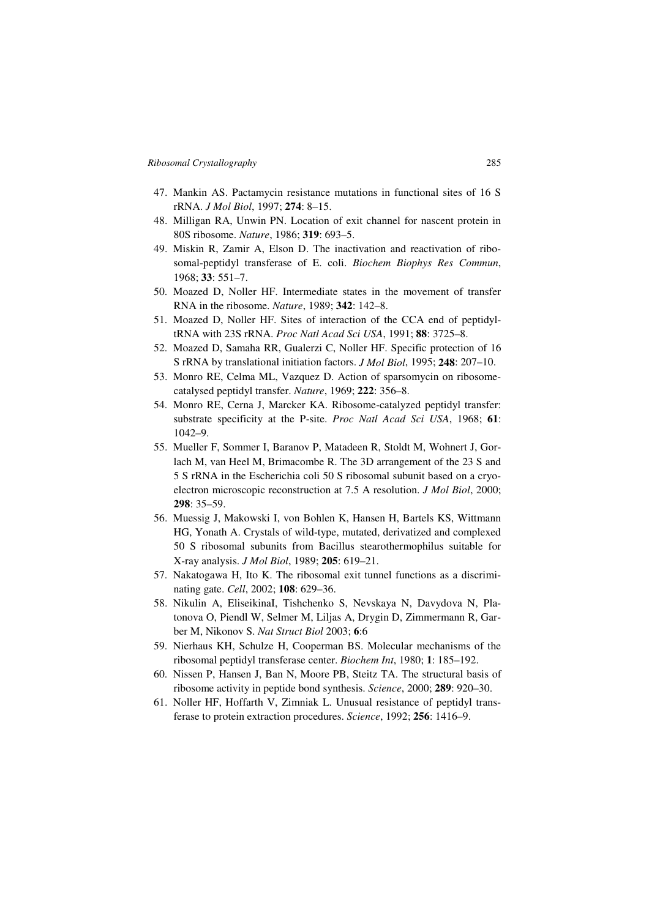- 47. Mankin AS. Pactamycin resistance mutations in functional sites of 16 S rRNA. *J Mol Biol*, 1997; **274**: 8–15.
- 48. Milligan RA, Unwin PN. Location of exit channel for nascent protein in 80S ribosome. *Nature*, 1986; **319**: 693–5.
- 49. Miskin R, Zamir A, Elson D. The inactivation and reactivation of ribosomal-peptidyl transferase of E. coli. *Biochem Biophys Res Commun*, 1968; **33**: 551–7.
- 50. Moazed D, Noller HF. Intermediate states in the movement of transfer RNA in the ribosome. *Nature*, 1989; **342**: 142–8.
- 51. Moazed D, Noller HF. Sites of interaction of the CCA end of peptidyltRNA with 23S rRNA. *Proc Natl Acad Sci USA*, 1991; **88**: 3725–8.
- 52. Moazed D, Samaha RR, Gualerzi C, Noller HF. Specific protection of 16 S rRNA by translational initiation factors. *J Mol Biol*, 1995; **248**: 207–10.
- 53. Monro RE, Celma ML, Vazquez D. Action of sparsomycin on ribosomecatalysed peptidyl transfer. *Nature*, 1969; **222**: 356–8.
- 54. Monro RE, Cerna J, Marcker KA. Ribosome-catalyzed peptidyl transfer: substrate specificity at the P-site. *Proc Natl Acad Sci USA*, 1968; **61**: 1042–9.
- 55. Mueller F, Sommer I, Baranov P, Matadeen R, Stoldt M, Wohnert J, Gorlach M, van Heel M, Brimacombe R. The 3D arrangement of the 23 S and 5 S rRNA in the Escherichia coli 50 S ribosomal subunit based on a cryoelectron microscopic reconstruction at 7.5 A resolution. *J Mol Biol*, 2000; **298**: 35–59.
- 56. Muessig J, Makowski I, von Bohlen K, Hansen H, Bartels KS, Wittmann HG, Yonath A. Crystals of wild-type, mutated, derivatized and complexed 50 S ribosomal subunits from Bacillus stearothermophilus suitable for X-ray analysis. *J Mol Biol*, 1989; **205**: 619–21.
- 57. Nakatogawa H, Ito K. The ribosomal exit tunnel functions as a discriminating gate. *Cell*, 2002; **108**: 629–36.
- 58. Nikulin A, EliseikinaI, Tishchenko S, Nevskaya N, Davydova N, Platonova O, Piendl W, Selmer M, Liljas A, Drygin D, Zimmermann R, Garber M, Nikonov S. *Nat Struct Biol* 2003; **6**:6
- 59. Nierhaus KH, Schulze H, Cooperman BS. Molecular mechanisms of the ribosomal peptidyl transferase center. *Biochem Int*, 1980; **1**: 185–192.
- 60. Nissen P, Hansen J, Ban N, Moore PB, Steitz TA. The structural basis of ribosome activity in peptide bond synthesis. *Science*, 2000; **289**: 920–30.
- 61. Noller HF, Hoffarth V, Zimniak L. Unusual resistance of peptidyl transferase to protein extraction procedures. *Science*, 1992; **256**: 1416–9.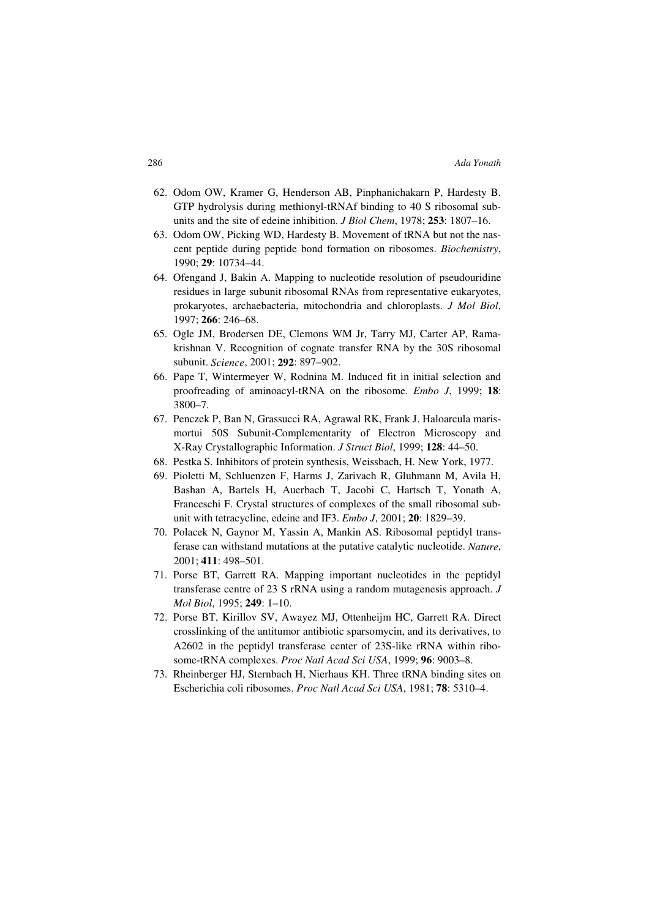- 62. Odom OW, Kramer G, Henderson AB, Pinphanichakarn P, Hardesty B. GTP hydrolysis during methionyl-tRNAf binding to 40 S ribosomal subunits and the site of edeine inhibition. *J Biol Chem*, 1978; **253**: 1807–16.
- 63. Odom OW, Picking WD, Hardesty B. Movement of tRNA but not the nascent peptide during peptide bond formation on ribosomes. *Biochemistry*, 1990; **29**: 10734–44.
- 64. Ofengand J, Bakin A. Mapping to nucleotide resolution of pseudouridine residues in large subunit ribosomal RNAs from representative eukaryotes, prokaryotes, archaebacteria, mitochondria and chloroplasts. *J Mol Biol*, 1997; **266**: 246–68.
- 65. Ogle JM, Brodersen DE, Clemons WM Jr, Tarry MJ, Carter AP, Ramakrishnan V. Recognition of cognate transfer RNA by the 30S ribosomal subunit. *Science*, 2001; **292**: 897–902.
- 66. Pape T, Wintermeyer W, Rodnina M. Induced fit in initial selection and proofreading of aminoacyl-tRNA on the ribosome. *Embo J*, 1999; **18**: 3800–7.
- 67. Penczek P, Ban N, Grassucci RA, Agrawal RK, Frank J. Haloarcula marismortui 50S Subunit-Complementarity of Electron Microscopy and X-Ray Crystallographic Information. *J Struct Biol*, 1999; **128**: 44–50.
- 68. Pestka S. Inhibitors of protein synthesis, Weissbach, H. New York, 1977.
- 69. Pioletti M, Schluenzen F, Harms J, Zarivach R, Gluhmann M, Avila H, Bashan A, Bartels H, Auerbach T, Jacobi C, Hartsch T, Yonath A, Franceschi F. Crystal structures of complexes of the small ribosomal subunit with tetracycline, edeine and IF3. *Embo J*, 2001; **20**: 1829–39.
- 70. Polacek N, Gaynor M, Yassin A, Mankin AS. Ribosomal peptidyl transferase can withstand mutations at the putative catalytic nucleotide. *Nature*, 2001; **411**: 498–501.
- 71. Porse BT, Garrett RA. Mapping important nucleotides in the peptidyl transferase centre of 23 S rRNA using a random mutagenesis approach. *J Mol Biol*, 1995; **249**: 1–10.
- 72. Porse BT, Kirillov SV, Awayez MJ, Ottenheijm HC, Garrett RA. Direct crosslinking of the antitumor antibiotic sparsomycin, and its derivatives, to A2602 in the peptidyl transferase center of 23S-like rRNA within ribosome-tRNA complexes. *Proc Natl Acad Sci USA*, 1999; **96**: 9003–8.
- 73. Rheinberger HJ, Sternbach H, Nierhaus KH. Three tRNA binding sites on Escherichia coli ribosomes. *Proc Natl Acad Sci USA*, 1981; **78**: 5310–4.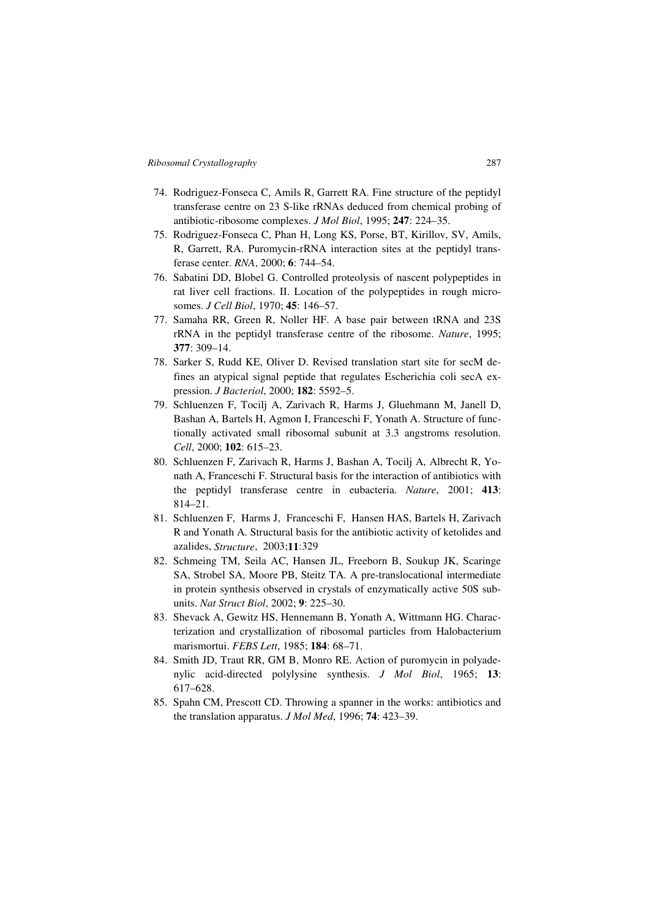- 74. Rodriguez-Fonseca C, Amils R, Garrett RA. Fine structure of the peptidyl transferase centre on 23 S-like rRNAs deduced from chemical probing of antibiotic-ribosome complexes. *J Mol Biol*, 1995; **247**: 224–35.
- 75. Rodriguez-Fonseca C, Phan H, Long KS, Porse, BT, Kirillov, SV, Amils, R, Garrett, RA. Puromycin-rRNA interaction sites at the peptidyl transferase center. *RNA*, 2000; **6**: 744–54.
- 76. Sabatini DD, Blobel G. Controlled proteolysis of nascent polypeptides in rat liver cell fractions. II. Location of the polypeptides in rough microsomes. *J Cell Biol*, 1970; **45**: 146–57.
- 77. Samaha RR, Green R, Noller HF. A base pair between tRNA and 23S rRNA in the peptidyl transferase centre of the ribosome. *Nature*, 1995; **377**: 309–14.
- 78. Sarker S, Rudd KE, Oliver D. Revised translation start site for secM defines an atypical signal peptide that regulates Escherichia coli secA expression. *J Bacteriol*, 2000; **182**: 5592–5.
- 79. Schluenzen F, Tocilj A, Zarivach R, Harms J, Gluehmann M, Janell D, Bashan A, Bartels H, Agmon I, Franceschi F, Yonath A. Structure of functionally activated small ribosomal subunit at 3.3 angstroms resolution. *Cell*, 2000; **102**: 615–23.
- 80. Schluenzen F, Zarivach R, Harms J, Bashan A, Tocilj A, Albrecht R, Yonath A, Franceschi F. Structural basis for the interaction of antibiotics with the peptidyl transferase centre in eubacteria. *Nature*, 2001; **413**: 814–21.
- 81. Schluenzen F, Harms J, Franceschi F, Hansen HAS, Bartels H, Zarivach R and Yonath A. Structural basis for the antibiotic activity of ketolides and azalides, *Structure*, 2003;**11**:329
- 82. Schmeing TM, Seila AC, Hansen JL, Freeborn B, Soukup JK, Scaringe SA, Strobel SA, Moore PB, Steitz TA. A pre-translocational intermediate in protein synthesis observed in crystals of enzymatically active 50S subunits. *Nat Struct Biol*, 2002; **9**: 225–30.
- 83. Shevack A, Gewitz HS, Hennemann B, Yonath A, Wittmann HG. Characterization and crystallization of ribosomal particles from Halobacterium marismortui. *FEBS Lett*, 1985; **184**: 68–71.
- 84. Smith JD, Traut RR, GM B, Monro RE. Action of puromycin in polyadenylic acid-directed polylysine synthesis. *J Mol Biol*, 1965; **13**: 617–628.
- 85. Spahn CM, Prescott CD. Throwing a spanner in the works: antibiotics and the translation apparatus. *J Mol Med*, 1996; **74**: 423–39.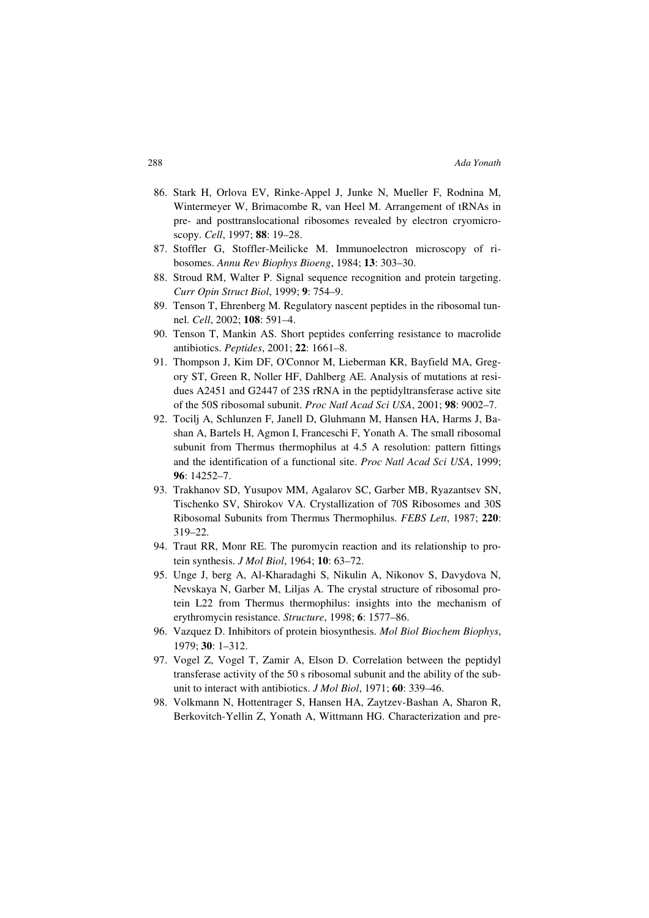- 86. Stark H, Orlova EV, Rinke-Appel J, Junke N, Mueller F, Rodnina M, Wintermeyer W, Brimacombe R, van Heel M. Arrangement of tRNAs in pre- and posttranslocational ribosomes revealed by electron cryomicroscopy. *Cell*, 1997; **88**: 19–28.
- 87. Stoffler G, Stoffler-Meilicke M. Immunoelectron microscopy of ribosomes. *Annu Rev Biophys Bioeng*, 1984; **13**: 303–30.
- 88. Stroud RM, Walter P. Signal sequence recognition and protein targeting. *Curr Opin Struct Biol*, 1999; **9**: 754–9.
- 89. Tenson T, Ehrenberg M. Regulatory nascent peptides in the ribosomal tunnel. *Cell*, 2002; **108**: 591–4.
- 90. Tenson T, Mankin AS. Short peptides conferring resistance to macrolide antibiotics. *Peptides*, 2001; **22**: 1661–8.
- 91. Thompson J, Kim DF, O'Connor M, Lieberman KR, Bayfield MA, Gregory ST, Green R, Noller HF, Dahlberg AE. Analysis of mutations at residues A2451 and G2447 of 23S rRNA in the peptidyltransferase active site of the 50S ribosomal subunit. *Proc Natl Acad Sci USA*, 2001; **98**: 9002–7.
- 92. Tocilj A, Schlunzen F, Janell D, Gluhmann M, Hansen HA, Harms J, Bashan A, Bartels H, Agmon I, Franceschi F, Yonath A. The small ribosomal subunit from Thermus thermophilus at 4.5 A resolution: pattern fittings and the identification of a functional site. *Proc Natl Acad Sci USA*, 1999; **96**: 14252–7.
- 93. Trakhanov SD, Yusupov MM, Agalarov SC, Garber MB, Ryazantsev SN, Tischenko SV, Shirokov VA. Crystallization of 70S Ribosomes and 30S Ribosomal Subunits from Thermus Thermophilus. *FEBS Lett*, 1987; **220**: 319–22.
- 94. Traut RR, Monr RE. The puromycin reaction and its relationship to protein synthesis. *J Mol Biol*, 1964; **10**: 63–72.
- 95. Unge J, berg A, Al-Kharadaghi S, Nikulin A, Nikonov S, Davydova N, Nevskaya N, Garber M, Liljas A. The crystal structure of ribosomal protein L22 from Thermus thermophilus: insights into the mechanism of erythromycin resistance. *Structure*, 1998; **6**: 1577–86.
- 96. Vazquez D. Inhibitors of protein biosynthesis. *Mol Biol Biochem Biophys*, 1979; **30**: 1–312.
- 97. Vogel Z, Vogel T, Zamir A, Elson D. Correlation between the peptidyl transferase activity of the 50 s ribosomal subunit and the ability of the subunit to interact with antibiotics. *J Mol Biol*, 1971; **60**: 339–46.
- 98. Volkmann N, Hottentrager S, Hansen HA, Zaytzev-Bashan A, Sharon R, Berkovitch-Yellin Z, Yonath A, Wittmann HG. Characterization and pre-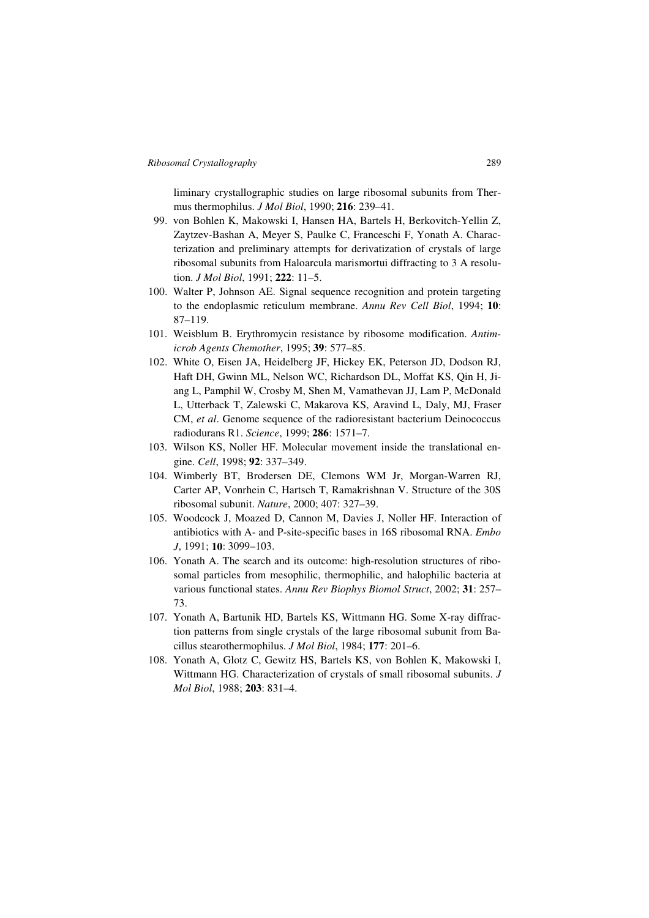liminary crystallographic studies on large ribosomal subunits from Thermus thermophilus. *J Mol Biol*, 1990; **216**: 239–41.

- 99. von Bohlen K, Makowski I, Hansen HA, Bartels H, Berkovitch-Yellin Z, Zaytzev-Bashan A, Meyer S, Paulke C, Franceschi F, Yonath A. Characterization and preliminary attempts for derivatization of crystals of large ribosomal subunits from Haloarcula marismortui diffracting to 3 A resolution. *J Mol Biol*, 1991; **222**: 11–5.
- 100. Walter P, Johnson AE. Signal sequence recognition and protein targeting to the endoplasmic reticulum membrane. *Annu Rev Cell Biol*, 1994; **10**: 87–119.
- 101. Weisblum B. Erythromycin resistance by ribosome modification. *Antimicrob Agents Chemother*, 1995; **39**: 577–85.
- 102. White O, Eisen JA, Heidelberg JF, Hickey EK, Peterson JD, Dodson RJ, Haft DH, Gwinn ML, Nelson WC, Richardson DL, Moffat KS, Qin H, Jiang L, Pamphil W, Crosby M, Shen M, Vamathevan JJ, Lam P, McDonald L, Utterback T, Zalewski C, Makarova KS, Aravind L, Daly, MJ, Fraser CM, *et al*. Genome sequence of the radioresistant bacterium Deinococcus radiodurans R1. *Science*, 1999; **286**: 1571–7.
- 103. Wilson KS, Noller HF. Molecular movement inside the translational engine. *Cell*, 1998; **92**: 337–349.
- 104. Wimberly BT, Brodersen DE, Clemons WM Jr, Morgan-Warren RJ, Carter AP, Vonrhein C, Hartsch T, Ramakrishnan V. Structure of the 30S ribosomal subunit. *Nature*, 2000; 407: 327–39.
- 105. Woodcock J, Moazed D, Cannon M, Davies J, Noller HF. Interaction of antibiotics with A- and P-site-specific bases in 16S ribosomal RNA. *Embo J*, 1991; **10**: 3099–103.
- 106. Yonath A. The search and its outcome: high-resolution structures of ribosomal particles from mesophilic, thermophilic, and halophilic bacteria at various functional states. *Annu Rev Biophys Biomol Struct*, 2002; **31**: 257– 73.
- 107. Yonath A, Bartunik HD, Bartels KS, Wittmann HG. Some X-ray diffraction patterns from single crystals of the large ribosomal subunit from Bacillus stearothermophilus. *J Mol Biol*, 1984; **177**: 201–6.
- 108. Yonath A, Glotz C, Gewitz HS, Bartels KS, von Bohlen K, Makowski I, Wittmann HG. Characterization of crystals of small ribosomal subunits. *J Mol Biol*, 1988; **203**: 831–4.